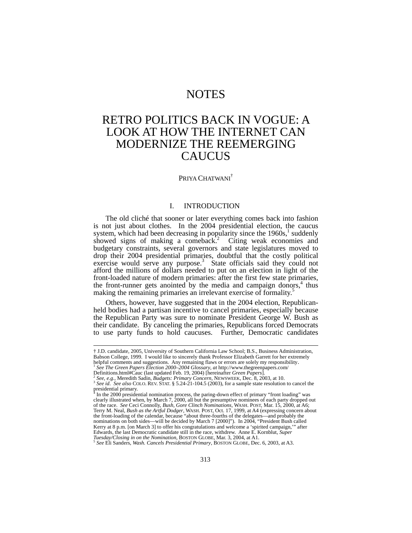## NOTES

# RETRO POLITICS BACK IN VOGUE: A LOOK AT HOW THE INTERNET CAN MODERNIZE THE REEMERGING **CAUCUS**

## PRIYA CHATWANI<sup>†</sup>

#### I. INTRODUCTION

The old cliché that sooner or later everything comes back into fashion is not just about clothes. In the 2004 presidential election, the caucus system, which had been decreasing in popularity since the  $1960s$ ,<sup>1</sup> suddenly showed signs of making a comeback.<sup>2</sup> Citing weak economies and budgetary constraints, several governors and state legislatures moved to drop their 2004 presidential primaries, doubtful that the costly political exercise would serve any purpose.<sup>3</sup> State officials said they could not afford the millions of dollars needed to put on an election in light of the front-loaded nature of modern primaries: after the first few state primaries, the front-runner gets anointed by the media and campaign donors,<sup>4</sup> thus making the remaining primaries an irrelevant exercise of formality.<sup>5</sup>

Others, however, have suggested that in the 2004 election, Republicanheld bodies had a partisan incentive to cancel primaries, especially because the Republican Party was sure to nominate President George W. Bush as their candidate. By canceling the primaries, Republicans forced Democrats to use party funds to hold caucuses. Further, Democratic candidates

 <sup>†</sup> J.D. candidate, 2005, University of Southern California Law School; B.S., Business Administration, Babson College, 1999. I would like to sincerely thank Professor Elizabeth Garrett for her extremely helpful comments and suggestions. Any remaining flaws or errors are solely my responsibility.<br><sup>1</sup> *See The Green Papers Election 2000–2004 Glossary, at* http://www.thegreenpapers.com/<br>Definitions.html#Cauc (last updated Fe

<sup>&</sup>lt;sup>2</sup> See, e.g., Meredith Sadin, Budgets: Primary Concern, NEWSWEEK, Dec. 8, 2003, at 10.<br><sup>3</sup> See id. See also COLO. REV. STAT. § 5.24-21-104.5 (2003), for a sample state resolution to cancel the presidential primary.

<sup>&</sup>lt;sup>4</sup> In the 2000 presidential nomination process, the paring-down effect of primary "front loading" was<br>clearly illustrated when, by March 7, 2000, all but the presumptive nominees of each party dropped out of the race. *See* Ceci Connolly, *Bush, Gore Clinch Nominations*, WASH. POST, Mar. 15, 2000, at A6; Terry M. Neal, *Bush as the Artful Dodger*, WASH. POST, Oct. 17, 1999, at A4 (expressing concern about the front-loading of the calendar, because "about three-fourths of the delegates—and probably the nominations on both s Kerry at 8 p.m. [on March 3] to offer his congratulations and welcome a 'spirited campaign,'" after Edwards, the last Democratic candidate still in the race, withdrew. Anne E. Kornblut, *Super Tuesday/Closing in on the Nomination*, BOSTON GLOBE, Mar. 3, 2004, at A1.<br><sup>5</sup> See Eli Sanders, *Wash. Cancels Presidential Primar*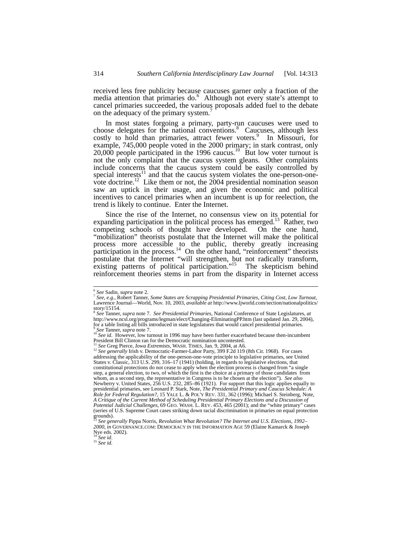received less free publicity because caucuses garner only a fraction of the media attention that primaries do.<sup>6</sup> Although not every state's attempt to cancel primaries succeeded, the various proposals added fuel to the debate on the adequacy of the primary system.

In most states forgoing a primary, party-run caucuses were used to choose delegates for the national conventions.<sup>8</sup> Caucuses, although less costly to hold than primaries, attract fewer voters.<sup>9</sup> In Missouri, for example, 745,000 people voted in the 2000 primary; in stark contrast, only 20,000 people participated in the 1996 caucus.<sup>10</sup> But low voter turnout is not the only complaint that the caucus system gleans. Other complaints include concerns that the caucus system could be easily controlled by special interests $11$  and that the caucus system violates the one-person-onevote doctrine.<sup>12</sup> Like them or not, the  $2004$  presidential nomination season saw an uptick in their usage, and given the economic and political incentives to cancel primaries when an incumbent is up for reelection, the trend is likely to continue. Enter the Internet.

Since the rise of the Internet, no consensus view on its potential for expanding participation in the political process has emerged.<sup>13</sup> Rather, two competing schools of thought have developed. On the one hand, "mobilization" theorists postulate that the Internet will make the political process more accessible to the public, thereby greatly increasing participation in the process.<sup>14</sup> On the other hand, "reinforcement" theorists postulate that the Internet "will strengthen, but not radically transform, existing patterns of political participation."<sup>15</sup> The skepticism behind reinforcement theories stems in part from the disparity in Internet access

<sup>6</sup> *See* Sadin, *supra* note 2. 7 *See*, *e.g.*, Robert Tanner, *Some States are Scrapping Presidential Primaries, Citing Cost, Low Turnout*, Lawrence Journal—World, Nov. 10, 2003, *available at* http://www.ljworld.com/section/nationalpolitics/  $\frac{\text{story}}{\text{8}}$  story/15154.

<sup>8</sup> *See* Tanner, *supra* note 7. *See Presidential Primaries*, National Conference of State Legislatures, *at* http://www.ncsl.org/programs/legman/elect/Changing-EliminatingPP.htm (last updated Jan. 29, 2004), for a table listing all bills introduced in state legislatures that would cancel presidential primaries.  $\frac{6}{10}$  See Tanner, *supra* note 7.<br><sup>10</sup> See id. However, low turnout in 1996 may have been further exacerbated because then-incumbent

President Bill Clinton ran for the Democratic nomination uncontested.

<sup>11</sup> *See* Greg Pierce, *Iowa Extremists*, WASH. TIMES, Jan. 9, 2004, at A6. 12 *See generally* Irish v. Democratic-Farmer-Labor Party, 399 F.2d 119 (8th Cir. 1968). For cases addressing the applicability of the one-person-one-vote principle to legislative primaries, see United States v. Classic, 313 U.S. 299, 316–17 (1941) (holding, in regards to legislative elections, that constitutional protections do not cease to apply when the election process is changed from "a single step, a general election, to two, of which the first is the choice at a primary of those candidates from whom, as a second step, the representative in Congress is to be chosen at the election"). *See also*  Newberry v. United States, 256 U.S. 232, 285–86 (1921). For support that this logic applies equally to presidential primaries, see Leonard P. Stark, Note, *The Presidential Primary and Caucus Schedule: A Role for Federal Regulation?*, 15 YALE L. & POL'Y REV. 331, 362 (1996); Michael S. Steinberg, Note, *A Critique of the Current Method of Scheduling Presidential Primary Elections and a Discussion of Potential Judicial Challenges*, 69 GEO. WASH. L. REV. 453, 465 (2001); and the "white primary" cases (series of U.S. Supreme Court cases striking down racial discrimination in primaries on equal protection

grounds). <sup>13</sup> *See generally* Pippa Norris, *Revolution What Revolution? The Internet and U.S. Elections, 1992– 2000*, *in* GOVERNANCE.COM: DEMOCRACY IN THE INFORMATION AGE 59 (Elaine Kamarck & Joseph Nye eds. 2002). <sup>14</sup> *See id*. 15 *See id.*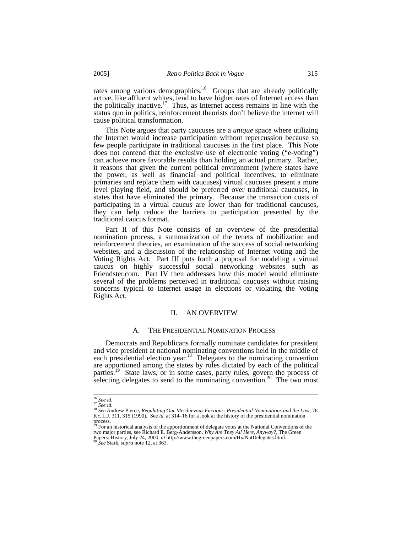rates among various demographics.<sup>16</sup> Groups that are already politically active, like affluent whites, tend to have higher rates of Internet access than the politically inactive.<sup>17</sup> Thus, as Internet access remains in line with the status quo in politics, reinforcement theorists don't believe the internet will cause political transformation.

This Note argues that party caucuses are a *unique* space where utilizing the Internet would increase participation without repercussion because so few people participate in traditional caucuses in the first place. This Note does not contend that the exclusive use of electronic voting ("e-voting") can achieve more favorable results than holding an actual primary. Rather, it reasons that given the current political environment (where states have the power, as well as financial and political incentives, to eliminate primaries and replace them with caucuses) virtual caucuses present a more level playing field, and should be preferred over traditional caucuses, in states that have eliminated the primary. Because the transaction costs of participating in a virtual caucus are lower than for traditional caucuses, they can help reduce the barriers to participation presented by the traditional caucus format.

Part II of this Note consists of an overview of the presidential nomination process, a summarization of the tenets of mobilization and reinforcement theories, an examination of the success of social networking websites, and a discussion of the relationship of Internet voting and the Voting Rights Act. Part III puts forth a proposal for modeling a virtual caucus on highly successful social networking websites such as Friendster.com. Part IV then addresses how this model would eliminate several of the problems perceived in traditional caucuses without raising concerns typical to Internet usage in elections or violating the Voting Rights Act.

### II. AN OVERVIEW

#### A. THE PRESIDENTIAL NOMINATION PROCESS

Democrats and Republicans formally nominate candidates for president and vice president at national nominating conventions held in the middle of each presidential election year.<sup>18</sup> Delegates to the nominating convention are apportioned among the states by rules dictated by each of the political parties.<sup>19</sup> State laws, or in some cases, party rules, govern the process of selecting delegates to send to the nominating convention.<sup>20</sup> The two most

<sup>16</sup> *See id.* <sup>17</sup> *See id.* <sup>18</sup> *See* Andrew Pierce, *Regulating Our Mischievous Factions: Presidential Nominations and the Law*, 78 KY. L.J. 311, 315 (1990)*.* See *id*. at 314–16 for a look at the history of the presidential nomination

process.<br><sup>19</sup> For an historical analysis of the apportionment of delegate votes at the National Conventions of the two major parties, see Richard E. Berg-Andersson, *Why Are They All Here, Anyway?*, The Green Papers: History, July 24, 2000, *at* http://www.thegreenpapers.com/Hx/NatDelegates.html. 20 *See* Stark, *supra* note 12, at 363.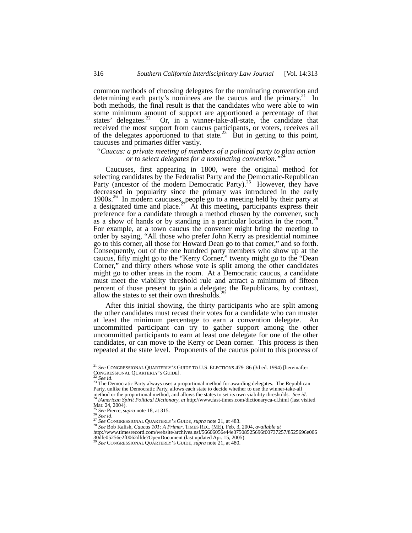common methods of choosing delegates for the nominating convention and determining each party's nominees are the caucus and the primary.<sup>21</sup> In both methods, the final result is that the candidates who were able to win some minimum amount of support are apportioned a percentage of that states' delegates.<sup>22</sup> Or, in a winner-take-all-state, the candidate that received the most support from caucus participants, or voters, receives all of the delegates apportioned to that state.<sup>23</sup> But in getting to this point, caucuses and primaries differ vastly.

## *"Caucus: a private meeting of members of a political party to plan action or to select delegates for a nominating convention."*<sup>24</sup>

Caucuses, first appearing in 1800, were the original method for selecting candidates by the Federalist Party and the Democratic-Republican Party (ancestor of the modern Democratic Party).<sup>25</sup> However, they have decreased in popularity since the primary was introduced in the early 1900s.<sup>26</sup> In modern caucuses, people go to a meeting held by their party at a designated time and place.<sup>27</sup> At this meeting, participants express their preference for a candidate through a method chosen by the convener, such as a show of hands or by standing in a particular location in the room.<sup>28</sup> For example, at a town caucus the convener might bring the meeting to order by saying, "All those who prefer John Kerry as presidential nominee go to this corner, all those for Howard Dean go to that corner," and so forth. Consequently, out of the one hundred party members who show up at the caucus, fifty might go to the "Kerry Corner," twenty might go to the "Dean Corner," and thirty others whose vote is split among the other candidates might go to other areas in the room. At a Democratic caucus, a candidate must meet the viability threshold rule and attract a minimum of fifteen percent of those present to gain a delegate; the Republicans, by contrast, allow the states to set their own thresholds.

After this initial showing, the thirty participants who are split among the other candidates must recast their votes for a candidate who can muster at least the minimum percentage to earn a convention delegate. An uncommitted participant can try to gather support among the other uncommitted participants to earn at least one delegate for one of the other candidates, or can move to the Kerry or Dean corner. This process is then repeated at the state level. Proponents of the caucus point to this process of

<sup>&</sup>lt;sup>21</sup> *See* CONGRESSIONAL QUARTERLY'S GUIDE TO U.S. ELECTIONS 479–86 (3d ed. 1994) [hereinafter<br>CONGRESSIONAL QUARTERLY'S GUIDE].

<sup>&</sup>lt;sup>22</sup> *See id.* 23 The Democratic Party always uses a proportional method for awarding delegates. The Republican<br><sup>23</sup> The Democratic Party always uses a proportional method for awarding delegates. The Republican Party, unlike the Democratic Party, allows each state to decide whether to use the winner-take-all method or the proportional method, and allows the states to set its own viability thresholds. See id.<br><sup>24</sup> iAmerican Spirit Political Dictionary, at http://www.fast-times.com/dictionaryca-cl.html (last visited

Mar. 24, 2004).<br>
<sup>25</sup> *See* Pierce, *supra* note 18, at 315.<br>
<sup>26</sup> *See id.* 

<sup>&</sup>lt;sup>27</sup> See CONGRESSIONAL QUARTERLY'S GUIDE, *supra* note 21, at 483.<br><sup>28</sup> See Bob Kalish, *Caucus 101: A Primer*, TIMES REC. (ME), Feb. 3, 2004, *available at* 

http://www.timesrecord.com/website/archives.nsf/56606056e44e37508525696f00737257/8525696e006 30dfe05256e2f0062dfde?OpenDocument (last updated Apr. 15, 2005).<br><sup>29</sup> See CONCREGO062dfde?OpenDocument (last updated Apr. 15, 2005).

<sup>29</sup> *See* CONGRESSIONAL QUARTERLY'S GUIDE, *supra* note 21, at 480.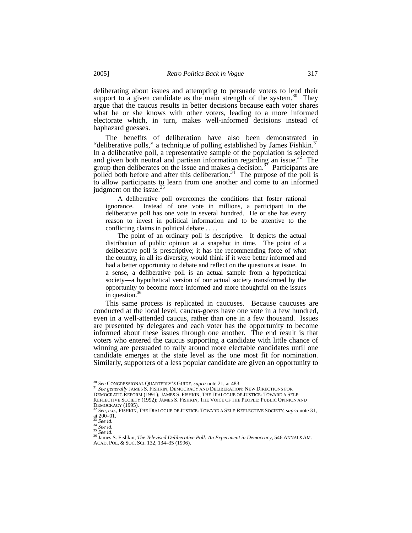deliberating about issues and attempting to persuade voters to lend their support to a given candidate as the main strength of the system.<sup>30</sup> They argue that the caucus results in better decisions because each voter shares what he or she knows with other voters, leading to a more informed electorate which, in turn, makes well-informed decisions instead of haphazard guesses.

The benefits of deliberation have also been demonstrated in "deliberative polls," a technique of polling established by James Fishkin.<sup>31</sup><br>In a deliberative poll, a representative sample of the population is selected and given both neutral and partisan information regarding an issue.<sup>32</sup> The group then deliberates on the issue and makes a decision.<sup> $\frac{3}{3}$ </sup> Participants are polled both before and after this deliberation.<sup>34</sup> The purpose of the poll is to allow participants to learn from one another and come to an informed judgment on the issue.

 A deliberative poll overcomes the conditions that foster rational ignorance. Instead of one vote in millions, a participant in the deliberative poll has one vote in several hundred. He or she has every reason to invest in political information and to be attentive to the conflicting claims in political debate . . . .

 The point of an ordinary poll is descriptive. It depicts the actual distribution of public opinion at a snapshot in time. The point of a deliberative poll is prescriptive; it has the recommending force of what the country, in all its diversity, would think if it were better informed and had a better opportunity to debate and reflect on the questions at issue. In a sense, a deliberative poll is an actual sample from a hypothetical society—a hypothetical version of our actual society transformed by the opportunity to become more informed and more thoughtful on the issues in question.<sup>36</sup>

This same process is replicated in caucuses. Because caucuses are conducted at the local level, caucus-goers have one vote in a few hundred, even in a well-attended caucus, rather than one in a few thousand. Issues are presented by delegates and each voter has the opportunity to become informed about these issues through one another. The end result is that voters who entered the caucus supporting a candidate with little chance of winning are persuaded to rally around more electable candidates until one candidate emerges at the state level as the one most fit for nomination. Similarly, supporters of a less popular candidate are given an opportunity to

<sup>&</sup>lt;sup>30</sup> See CONGRESSIONAL QUARTERLY'S GUIDE, *supra* note 21, at 483.<br><sup>31</sup> See generally JAMES S. FISHKIN, DEMOCRACY AND DELIBERATION: NEW DIRECTIONS FOR

DEMOCRATIC REFORM (1991); JAMES S. FISHKIN, THE DIALOGUE OF JUSTICE: TOWARD A SELF-

REFLECTIVE SOCIETY (1992); JAMES S. FISHKIN, THE VOICE OF THE PEOPLE: PUBLIC OPINION AND DEMOCRACY (1995). 32 *See, e.g.,* FISHKIN, THE DIALOGUE OF JUSTICE: TOWARD A SELF-REFLECTIVE SOCIETY, *supra* note 31,

see, e.g.,<br>at 200–01.<br> $33$  See id.<br> $34$  See id.<br> $35$  See id.

<sup>33</sup> *See id.* <sup>34</sup> *See id.* <sup>35</sup> *See id.* 36 James S. Fishkin, *The Televised Deliberative Poll: An Experiment in Democracy*, 546 ANNALS AM. ACAD. POL. & SOC. SCI. 132, 134–35 (1996).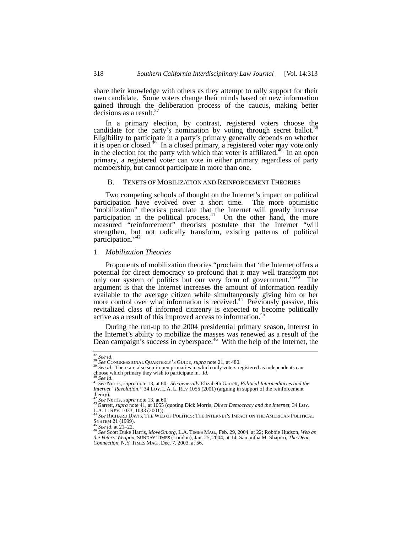share their knowledge with others as they attempt to rally support for their own candidate. Some voters change their minds based on new information gained through the deliberation process of the caucus, making better decisions as a result. $37$ 

In a primary election, by contrast, registered voters choose the candidate for the party's nomination by voting through secret ballot.<sup>38</sup> Eligibility to participate in a party's primary generally depends on whether it is open or closed.<sup>39</sup> In a closed primary, a registered voter may vote only in the election for the party with which that voter is affiliated.<sup>40</sup> In an open primary, a registered voter can vote in either primary regardless of party membership, but cannot participate in more than one.

## B. TENETS OF MOBILIZATION AND REINFORCEMENT THEORIES

Two competing schools of thought on the Internet's impact on political participation have evolved over a short time. The more optimistic "mobilization" theorists postulate that the Internet will greatly increase participation in the political process.<sup>41</sup> On the other hand, the more measured "reinforcement" theorists postulate that the Internet "will strengthen, but not radically transform, existing patterns of political participation."<sup>42</sup>

#### 1. *Mobilization Theories*

Proponents of mobilization theories "proclaim that 'the Internet offers a potential for direct democracy so profound that it may well transform not only our system of politics but our very form of government."<sup>43</sup> The argument is that the Internet increases the amount of information readily available to the average citizen while simultaneously giving him or her more control over what information is received.<sup>44</sup> Previously passive, this revitalized class of informed citizenry is expected to become politically active as a result of this improved access to information.<sup>4</sup>

During the run-up to the 2004 presidential primary season, interest in the Internet's ability to mobilize the masses was renewed as a result of the Dean campaign's success in cyberspace.<sup>46</sup> With the help of the Internet, the

<sup>&</sup>lt;sup>37</sup> *See id.* 38 *See* CONGRESSIONAL QUARTERLY'S GUIDE, *supra* note 21, at 480. 39 *See id.* There are also semi-open primaries in which only voters registered as independents can choose which primary they wish to partic

choose which primary they wish to participate in. *Id.*<br><sup>40</sup> See id.<br><sup>41</sup> See Norris, *supra* note 13, at 60. See generally Elizabeth Garrett, *Political Intermediaries and the*<br>*Internet "Revolution,"* 34 LOY. L.A. L. REV theory).<br> $42$  See Norris, *supra* note 13, at 60.

<sup>43</sup> Garrett, *supra* note 41, at 1055 (quoting Dick Morris, *Direct Democracy and the Internet*, 34 LOY.<br>L.A. L. REV. 1033, 1033 (2001)).

<sup>&</sup>lt;sup>44</sup> See RICHARD DAVIS, THE WEB OF POLITICS: THE INTERNET'S IMPACT ON THE AMERICAN POLITICAL SYSTEM 21 (1999).

<sup>&</sup>lt;sup>45</sup> *See id.* at 21–22.<br><sup>46</sup> *See* Scott Duke Harris, *MoveOn.org*, L.A. TIMES MAG., Feb. 29, 2004, at 22; Robbie Hudson, *Web as the Voters' Weapon*, SUNDAY TIMES (London), Jan. 25, 2004, at 14; Samantha M. Shapiro, *The Dean Connection*, N.Y. TIMES MAG., Dec. 7, 2003, at 56.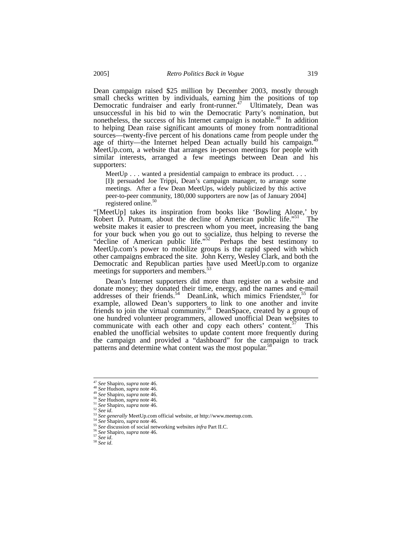Dean campaign raised \$25 million by December 2003, mostly through small checks written by individuals, earning him the positions of top Democratic fundraiser and early front-runner.<sup>47</sup> Ultimately, Dean was unsuccessful in his bid to win the Democratic Party's nomination, but nonetheless, the success of his Internet campaign is notable.<sup>48</sup> In addition to helping Dean raise significant amounts of money from nontraditional sources—twenty-five percent of his donations came from people under the age of thirty—the Internet helped Dean actually build his campaign.<sup>49</sup> MeetUp.com, a website that arranges in-person meetings for people with similar interests, arranged a few meetings between Dean and his supporters:

MeetUp  $\ldots$  wanted a presidential campaign to embrace its product.  $\ldots$ [I]t persuaded Joe Trippi, Dean's campaign manager, to arrange some meetings. After a few Dean MeetUps, widely publicized by this active peer-to-peer community, 180,000 supporters are now [as of January 2004] registered online.<sup>50</sup>

"[MeetUp] takes its inspiration from books like 'Bowling Alone,' by Robert D. Putnam, about the decline of American public life."<sup>51</sup> The website makes it easier to prescreen whom you meet, increasing the bang for your buck when you go out to socialize, thus helping to reverse the "decline of American public life."52 Perhaps the best testimony to MeetUp.com's power to mobilize groups is the rapid speed with which other campaigns embraced the site. John Kerry, Wesley Clark, and both the Democratic and Republican parties have used MeetUp.com to organize meetings for supporters and members.<sup>33</sup>

Dean's Internet supporters did more than register on a website and donate money; they donated their time, energy, and the names and e-mail addresses of their friends.<sup>54</sup> DeanLink, which mimics Friendster,<sup>55</sup> for example, allowed Dean's supporters to link to one another and invite friends to join the virtual community.<sup>56</sup> DeanSpace, created by a group of one hundred volunteer programmers, allowed unofficial Dean websites to communicate with each other and copy each others' content.<sup>57</sup> This enabled the unofficial websites to update content more frequently during the campaign and provided a "dashboard" for the campaign to track patterns and determine what content was the most popular.<sup>58</sup>

<sup>&</sup>lt;sup>47</sup> See Shapiro, *supra* note 46.<br><sup>48</sup> See Hudson, *supra* note 46.<br><sup>50</sup> See Hudson, *supra* note 46.<br><sup>50</sup> See Hudson, *supra* note 46.<br><sup>51</sup> See Hudson, *supra* note 46.<br><sup>52</sup> See Shapiro, *supra* note 46.<br><sup>53</sup> See genera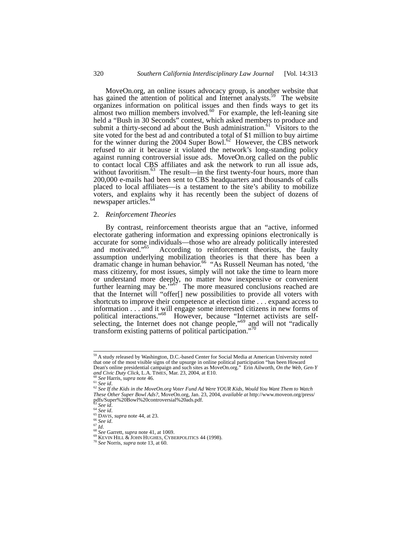MoveOn.org, an online issues advocacy group, is another website that has gained the attention of political and Internet analysts.<sup>59</sup> The website organizes information on political issues and then finds ways to get its almost two million members involved. $60$  For example, the left-leaning site held a "Bush in 30 Seconds" contest, which asked members to produce and submit a thirty-second ad about the Bush administration.<sup>61</sup> Visitors to the site voted for the best ad and contributed a total of \$1 million to buy airtime for the winner during the 2004 Super Bowl.<sup>62</sup> However, the CBS network refused to air it because it violated the network's long-standing policy against running controversial issue ads. MoveOn.org called on the public to contact local CBS affiliates and ask the network to run all issue ads, without favoritism.<sup>63</sup> The result—in the first twenty-four hours, more than 200,000 e-mails had been sent to CBS headquarters and thousands of calls placed to local affiliates—is a testament to the site's ability to mobilize voters, and explains why it has recently been the subject of dozens of newspaper articles.<sup>64</sup>

#### 2. *Reinforcement Theories*

By contrast, reinforcement theorists argue that an "active, informed electorate gathering information and expressing opinions electronically is accurate for some individuals—those who are already politically interested and motivated."<sup>65</sup> According to reinforcement theorists, the faulty According to reinforcement theorists, the faulty assumption underlying mobilization theories is that there has been a dramatic change in human behavior.<sup>66</sup> "As Russell Neuman has noted, 'the mass citizenry, for most issues, simply will not take the time to learn more or understand more deeply, no matter how inexpensive or convenient further learning may be.<sup> $,567$ </sup> The more measured conclusions reached are that the Internet will "offer[] new possibilities to provide all voters with shortcuts to improve their competence at election time . . . expand access to information . . . and it will engage some interested citizens in new forms of political interactions."<sup>68</sup> However, because "Internet activists are selfselecting, the Internet does not change people,"<sup>69</sup> and will not "radically transform existing patterns of political participation."<sup>70</sup>

<sup>&</sup>lt;sup>59</sup> A study released by Washington, D.C.-based Center for Social Media at American University noted that one of the most visible signs of the upsurge in online political participation "has been Howard Dean's online presidential campaign and such sites as MoveOn.org." Erin Ailworth, *On the Web, Gen-Y* 

<sup>&</sup>lt;sup>60</sup> See Harris, supra note 46.<br><sup>61</sup> See id.<br><sup>62</sup> See If the Kids in the MoveOn.org Voter Fund Ad Were YOUR Kids, Would You Want Them to Watch *These Other Super Bowl Ads?*, MoveOn.org, Jan. 23, 2004, *available at* http://www.moveon.org/press/ pdfs/Super%20Bowl%20controversial%20ads.pdf.<br><sup>63</sup> See id.<br><sup>64</sup> See id.

<sup>&</sup>lt;sup>65</sup> DAVIS, *supra* note 44, at 23.<br>
<sup>66</sup> See id.<br>
<sup>67</sup> Id.<br>
<sup>68</sup> See Garrett, *supra* note 41, at 1069.<br>
<sup>69</sup> KEVIN HILL & JOHN HUGHES, CYBERPOLITICS 44 (1998).<br>
<sup>70</sup> See Norris, *supra* note 13, at 60.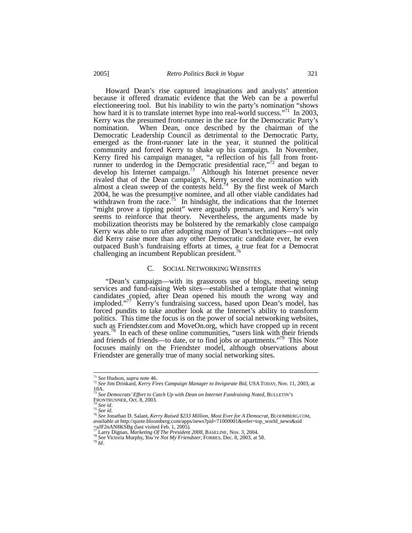Howard Dean's rise captured imaginations and analysts' attention because it offered dramatic evidence that the Web can be a powerful electioneering tool. But his inability to win the party's nomination "shows how hard it is to translate internet hype into real-world success."<sup>71</sup> In 2003, Kerry was the presumed front-runner in the race for the Democratic Party's nomination. When Dean, once described by the chairman of the Democratic Leadership Council as detrimental to the Democratic Party, emerged as the front-runner late in the year, it stunned the political community and forced Kerry to shake up his campaign. In November, Kerry fired his campaign manager, "a reflection of his fall from frontrunner to underdog in the Democratic presidential race,"<sup>72</sup> and began to develop his Internet campaign.<sup>73</sup> Although his Internet presence never rivaled that of the Dean campaign's, Kerry secured the nomination with almost a clean sweep of the contests held.<sup>74</sup> By the first week of March 2004, he was the presumptive nominee, and all other viable candidates had withdrawn from the race.<sup>75</sup> In hindsight, the indications that the Internet "might prove a tipping point" were arguably premature, and Kerry's win seems to reinforce that theory. Nevertheless, the arguments made by mobilization theorists may be bolstered by the remarkably close campaign Kerry was able to run after adopting many of Dean's techniques—not only did Kerry raise more than any other Democratic candidate ever, he even outpaced Bush's fundraising efforts at times, a true feat for a Democrat challenging an incumbent Republican president.<sup>16</sup>

#### C. SOCIAL NETWORKING WEBSITES

"Dean's campaign—with its grassroots use of blogs, meeting setup services and fund-raising Web sites—established a template that winning candidates copied, after Dean opened his mouth the wrong way and imploded."<sup>77</sup> Kerry's fundraising success, based upon Dean's model, has forced pundits to take another look at the Internet's ability to transform politics. This time the focus is on the power of social networking websites, such as Friendster.com and MoveOn.org, which have cropped up in recent years.<sup>78</sup> In each of these online communities, "users link with their friends and friends of friends—to date, or to find jobs or apartments."79 This Note focuses mainly on the Friendster model, although observations about Friendster are generally true of many social networking sites.

<sup>&</sup>lt;sup>71</sup> *See* Hudson, *supra* note 46.<br><sup>72</sup> *See Jim Drinkard, Kerry Fires Campaign Manager to Invigorate Bid, USATODAY, Nov. 11, 2003, at*<br>10A.

<sup>10</sup>A.<br><sup>73</sup> See Democrats' Effort to Catch Up with Dean on Internet Fundraising Noted, BULLETIN'S<br>FRONTRUNNER, Oct. 8, 2003.

<sup>&</sup>lt;sup>74</sup> See id.<br><sup>75</sup> See id.<br><sup>75</sup> See id.<br><sup>76</sup> See Jonathan D. Salant, *Kerry Raised \$233 Million, Most Ever for A Democrat*, BLOOMBERG.COM, available at http://quote.bloomberg.com/apps/news?pid=71000001&refer=top\_world\_news&  $=$ aJF2nAN8KSBg (last visited Feb. 1, 2005).<br> $\frac{77}{2}$  Larry Dignan, *Marketing Of The President 2008*, BASELINE, Nov. 3, 2004.

<sup>78</sup> See Victoria Murphy, *You're Not My Friendster*, FORBES, Dec. 8, 2003, at 58.<br><sup>79</sup> *Id*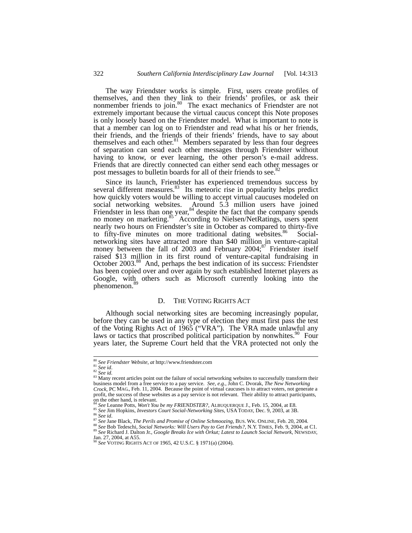The way Friendster works is simple. First, users create profiles of themselves, and then they link to their friends' profiles, or ask their nonmember friends to join.<sup>80</sup> The exact mechanics of Friendster are not extremely important because the virtual caucus concept this Note proposes is only loosely based on the Friendster model. What is important to note is that a member can log on to Friendster and read what his or her friends, their friends, and the friends of their friends' friends, have to say about themselves and each other.<sup>81</sup> Members separated by less than four degrees of separation can send each other messages through Friendster without having to know, or ever learning, the other person's e-mail address. Friends that are directly connected can either send each other messages or post messages to bulletin boards for all of their friends to see.<sup>8</sup>

Since its launch, Friendster has experienced tremendous success by several different measures.<sup>83</sup> Its meteoric rise in popularity helps predict how quickly voters would be willing to accept virtual caucuses modeled on social networking websites. Around 5.3 million users have joined Friendster in less than one year,  $84$  despite the fact that the company spends no money on marketing.<sup>85</sup> According to Nielsen/NetRatings, users spent nearly two hours on Friendster's site in October as compared to thirty-five to fifty-five minutes on more traditional dating websites.<sup>86</sup> Socialnetworking sites have attracted more than \$40 million in venture-capital money between the fall of  $2003$  and February  $2004$ ;<sup>87</sup> Friendster itself raised \$13 million in its first round of venture-capital fundraising in October 2003.<sup>88</sup> And, perhaps the best indication of its success: Friendster has been copied over and over again by such established Internet players as Google, with others such as Microsoft currently looking into the phenomenon.<sup>89</sup>

## D. THE VOTING RIGHTS ACT

Although social networking sites are becoming increasingly popular, before they can be used in any type of election they must first pass the test of the Voting Rights Act of 1965 ("VRA"). The VRA made unlawful any laws or tactics that proscribed political participation by nonwhites.<sup>90</sup> Four years later, the Supreme Court held that the VRA protected not only the

<sup>80</sup> *See Friendster Website*, *at* http://www.friendster.com<br><sup>81</sup> *See id.* 82 *See id.* 83 *See id.* 83 Many recent articles point out the failure of social networking websites to successfully transform their business model from a free service to a pay service. See, e.g., John C. Dvorak, The New Networking<br>Crock, PC MAG, Feb. 11, 2004. Because the point of virtual caucuses is to attract voters, not generate a profit, the success of these websites as a pay service is not relevant. Their ability to attract participants,

on the other hand, is relevant.<br><sup>84</sup> See Leanne Potts, Won't You be my FRIENDSTER?, ALBUQUERQUE J., Feb. 15, 2004, at E8.

<sup>&</sup>lt;sup>85</sup> See Lim Hopkins, *Investors Court Social-Networking Sites*, USA TODAY, Dec. 9, 2003, at 3B.<br><sup>86</sup> See Jan Hopkins, *Investors Court Social-Networking Sites*, USA TODAY, Dec. 9, 2003, at 3B.<br><sup>87</sup> See Jane Black, *The Pe* 

<sup>90</sup> *See* VOTING RIGHTS ACT OF 1965, 42 U.S.C. § 1971(a) (2004).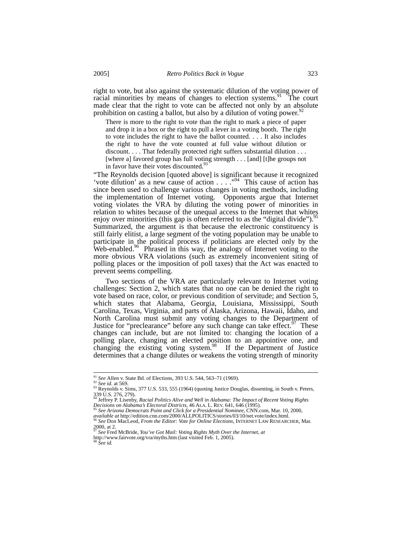right to vote, but also against the systematic dilution of the voting power of racial minorities by means of changes to election systems.<sup>91</sup> The court made clear that the right to vote can be affected not only by an absolute prohibition on casting a ballot, but also by a dilution of voting power.<sup>9</sup>

There is more to the right to vote than the right to mark a piece of paper and drop it in a box or the right to pull a lever in a voting booth. The right to vote includes the right to have the ballot counted. . . . It also includes the right to have the vote counted at full value without dilution or discount. . . . That federally protected right suffers substantial dilution . . . [where a] favored group has full voting strength . . . [and] [t]he groups not in favor have their votes discounted.<sup>93</sup>

"The Reynolds decision [quoted above] is significant because it recognized 'vote dilution' as a new cause of action . . . ."94 This cause of action has since been used to challenge various changes in voting methods, including the implementation of Internet voting. Opponents argue that Internet voting violates the VRA by diluting the voting power of minorities in relation to whites because of the unequal access to the Internet that whites enjoy over minorities (this gap is often referred to as the "digital divide").<sup>95</sup> Summarized, the argument is that because the electronic constituency is still fairly elitist, a large segment of the voting population may be unable to participate in the political process if politicians are elected only by the Web-enabled.<sup>96</sup> Phrased in this way, the analogy of Internet voting to the more obvious VRA violations (such as extremely inconvenient siting of polling places or the imposition of poll taxes) that the Act was enacted to prevent seems compelling.

Two sections of the VRA are particularly relevant to Internet voting challenges: Section 2, which states that no one can be denied the right to vote based on race, color, or previous condition of servitude; and Section 5, which states that Alabama, Georgia, Louisiana, Mississippi, South Carolina, Texas, Virginia, and parts of Alaska, Arizona, Hawaii, Idaho, and North Carolina must submit any voting changes to the Department of Justice for "preclearance" before any such change can take effect. $97$  These changes can include, but are not limited to: changing the location of a polling place, changing an elected position to an appointive one, and changing the existing voting system.<sup>98</sup> If the Department of Justice determines that a change dilutes or weakens the voting strength of minority

<sup>&</sup>lt;sup>91</sup> *See* Allen v. State Bd. of Elections, 393 U.S. 544, 563–71 (1969).<br><sup>92</sup> *See id.* at 569. <br><sup>93</sup> Reynolds v. Sims, 377 U.S. 533, 555 (1964) (quoting Justice Douglas, dissenting, in South v. Peters, 339 U.S. 276, 279). 94 Jeffrey P. Lisenby, *Racial Politics Alive and Well in Alabama: The Impact of Recent Voting Rights* 

*Decisions on Alabama's Electoral Districts*, 46 ALA. L. REV. 641, 646 (1995). 95 *See Arizona Democrats Point and Click for a Presidential Nominee*, CNN.com, Mar. 10, 2000,

*available at* http://edition.cnn.com/2000/ALLPOLITICS/stories/03/10/net.vote/index.html. 96 *See* Don MacLeod, *From the Editor: Vote for Online Elections*, INTERNET LAW RESEARCHER, Mar.  $2000$ , at 2.

<sup>&</sup>lt;sup>97</sup> See Fred McBride, *You've Got Mail: Voting Rights Myth Over the Internet*, *at* http://www.fairvote.org/vra/myths.htm (last visited Feb. 1, 2005).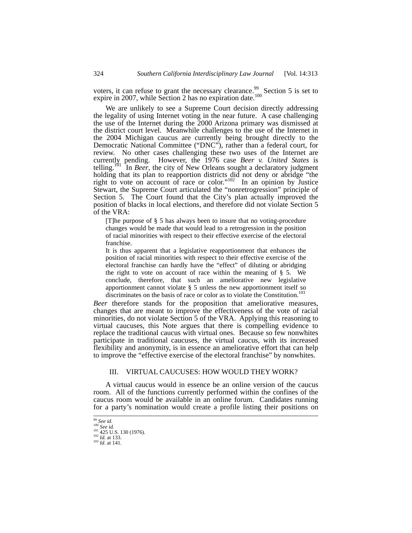voters, it can refuse to grant the necessary clearance.<sup>99</sup> Section 5 is set to expire in 2007, while Section 2 has no expiration date.<sup>100</sup>

We are unlikely to see a Supreme Court decision directly addressing the legality of using Internet voting in the near future. A case challenging the use of the Internet during the 2000 Arizona primary was dismissed at the district court level. Meanwhile challenges to the use of the Internet in the 2004 Michigan caucus are currently being brought directly to the Democratic National Committee ("DNC"), rather than a federal court, for review. No other cases challenging these two uses of the Internet are currently pending. However, the 1976 case *Beer v. United States* is telling.<sup>101</sup> In *Beer*, the city of New Orleans sought a declaratory judgment holding that its plan to reapportion districts did not deny or abridge "the right to vote on account of race or color."<sup>102</sup> In an opinion by Justice Stewart, the Supreme Court articulated the "nonretrogression" principle of Section 5. The Court found that the City's plan actually improved the position of blacks in local elections, and therefore did not violate Section 5 of the VRA:

[T]he purpose of § 5 has always been to insure that no voting-procedure changes would be made that would lead to a retrogression in the position of racial minorities with respect to their effective exercise of the electoral franchise.

It is thus apparent that a legislative reapportionment that enhances the position of racial minorities with respect to their effective exercise of the electoral franchise can hardly have the "effect" of diluting or abridging the right to vote on account of race within the meaning of § 5. We conclude, therefore, that such an ameliorative new legislative apportionment cannot violate § 5 unless the new apportionment itself so discriminates on the basis of race or color as to violate the Constitution.<sup>103</sup>

*Beer* therefore stands for the proposition that ameliorative measures, changes that are meant to improve the effectiveness of the vote of racial minorities, do not violate Section 5 of the VRA. Applying this reasoning to virtual caucuses, this Note argues that there is compelling evidence to replace the traditional caucus with virtual ones. Because so few nonwhites participate in traditional caucuses, the virtual caucus, with its increased flexibility and anonymity, is in essence an ameliorative effort that can help to improve the "effective exercise of the electoral franchise" by nonwhites.

## III. VIRTUAL CAUCUSES: HOW WOULD THEY WORK?

A virtual caucus would in essence be an online version of the caucus room. All of the functions currently performed within the confines of the caucus room would be available in an online forum. Candidates running for a party's nomination would create a profile listing their positions on

<sup>99</sup> *See id.* <sup>100</sup> *See id.* 101 425 U.S. 130 (1976). 102 *Id.* at 133. 103 *Id*. at 141.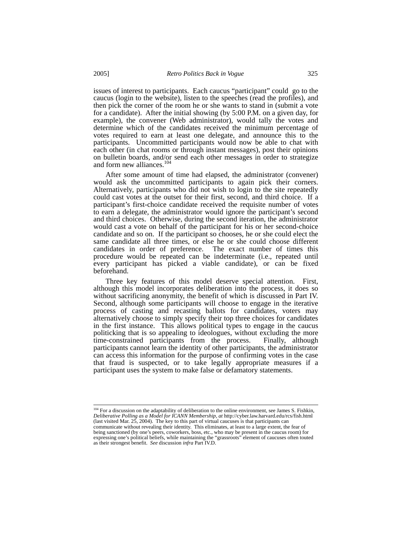issues of interest to participants. Each caucus "participant" could go to the caucus (login to the website), listen to the speeches (read the profiles), and then pick the corner of the room he or she wants to stand in (submit a vote for a candidate). After the initial showing (by 5:00 P.M. on a given day, for example), the convener (Web administrator), would tally the votes and determine which of the candidates received the minimum percentage of votes required to earn at least one delegate, and announce this to the participants. Uncommitted participants would now be able to chat with each other (in chat rooms or through instant messages), post their opinions on bulletin boards, and/or send each other messages in order to strategize and form new alliances.<sup>11</sup>

After some amount of time had elapsed, the administrator (convener) would ask the uncommitted participants to again pick their corners. Alternatively, participants who did not wish to login to the site repeatedly could cast votes at the outset for their first, second, and third choice. If a participant's first-choice candidate received the requisite number of votes to earn a delegate, the administrator would ignore the participant's second and third choices. Otherwise, during the second iteration, the administrator would cast a vote on behalf of the participant for his or her second-choice candidate and so on. If the participant so chooses, he or she could elect the same candidate all three times, or else he or she could choose different candidates in order of preference. The exact number of times this procedure would be repeated can be indeterminate (i.e., repeated until every participant has picked a viable candidate), or can be fixed beforehand.

Three key features of this model deserve special attention. First, although this model incorporates deliberation into the process, it does so without sacrificing anonymity, the benefit of which is discussed in Part IV. Second, although some participants will choose to engage in the iterative process of casting and recasting ballots for candidates, voters may alternatively choose to simply specify their top three choices for candidates in the first instance. This allows political types to engage in the caucus politicking that is so appealing to ideologues, without excluding the more time-constrained participants from the process. Finally, although time-constrained participants from the process. participants cannot learn the identity of other participants, the administrator can access this information for the purpose of confirming votes in the case that fraud is suspected, or to take legally appropriate measures if a participant uses the system to make false or defamatory statements.

<sup>&</sup>lt;sup>104</sup> For a discussion on the adaptability of deliberation to the online environment, see James S. Fishkin, *Deliberative Polling as a Model for ICANN Membership*, *at* http://cyber.law.harvard.edu/rcs/fish.html (last visited Mar. 25, 2004). The key to this part of virtual caucuses is that participants can communicate without revealing their identity. This eliminates, at least to a large extent, the fear of being sanctioned (by one's peers, coworkers, boss, etc., who may be present in the caucus room) for expressing one's political beliefs, while maintaining the "grassroots" element of caucuses often touted as their strongest benefit. *See* discussion *infra* Part IV.D.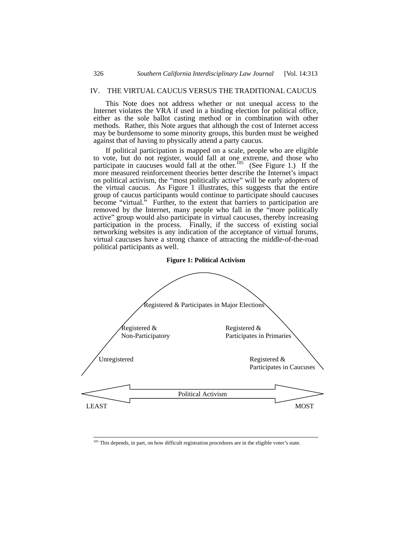## IV. THE VIRTUAL CAUCUS VERSUS THE TRADITIONAL CAUCUS

This Note does not address whether or not unequal access to the Internet violates the VRA if used in a binding election for political office, either as the sole ballot casting method or in combination with other methods. Rather, this Note argues that although the cost of Internet access may be burdensome to some minority groups, this burden must be weighed against that of having to physically attend a party caucus.

If political participation is mapped on a scale, people who are eligible to vote, but do not register, would fall at one extreme, and those who participate in caucuses would fall at the other.<sup>105</sup> (See Figure 1.) If the more measured reinforcement theories better describe the Internet's impact on political activism, the "most politically active" will be early adopters of the virtual caucus. As Figure 1 illustrates, this suggests that the entire group of caucus participants would continue to participate should caucuses become "virtual." Further, to the extent that barriers to participation are removed by the Internet, many people who fall in the "more politically active" group would also participate in virtual caucuses, thereby increasing participation in the process. Finally, if the success of existing social networking websites is any indication of the acceptance of virtual forums, virtual caucuses have a strong chance of attracting the middle-of-the-road political participants as well.



#### **Figure 1: Political Activism**

<sup>&</sup>lt;sup>105</sup> This depends, in part, on how difficult registration procedures are in the eligible voter's state.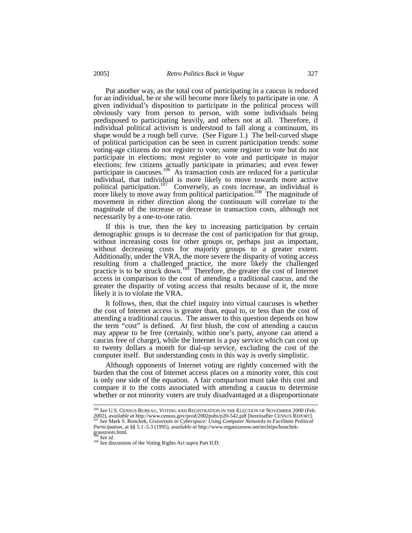Put another way, as the total cost of participating in a caucus is reduced for an individual, he or she will become more likely to participate in one. A given individual's disposition to participate in the political process will obviously vary from person to person, with some individuals being predisposed to participating heavily, and others not at all. Therefore, if individual political activism is understood to fall along a continuum, its shape would be a rough bell curve. (See Figure 1.) The bell-curved shape of political participation can be seen in current participation trends: some voting-age citizens do not register to vote; some register to vote but do not participate in elections; most register to vote and participate in major elections; few citizens actually participate in primaries; and even fewer participate in caucuses.<sup>106</sup> As transaction costs are reduced for a particular individual, that individual is more likely to move towards more active political participation.<sup>107</sup> Conversely, as costs increase, an individual is more likely to move away from political participation.<sup>108</sup> The magnitude of movement in either direction along the continuum will correlate to the magnitude of the increase or decrease in transaction costs, although not necessarily by a one-to-one ratio.

If this is true, then the key to increasing participation by certain demographic groups is to decrease the cost of participation for that group, without increasing costs for other groups or, perhaps just as important, without decreasing costs for majority groups to a greater extent. Additionally, under the VRA, the more severe the disparity of voting access resulting from a challenged practice, the more likely the challenged practice is to be struck down.<sup>109</sup> Therefore, the greater the cost of Internet access in comparison to the cost of attending a traditional caucus, and the greater the disparity of voting access that results because of it, the more likely it is to violate the VRA.

It follows, then, that the chief inquiry into virtual caucuses is whether the cost of Internet access is greater than, equal to, or less than the cost of attending a traditional caucus. The answer to this question depends on how the term "cost" is defined. At first blush, the cost of attending a caucus may appear to be free (certainly, within one's party, anyone can attend a caucus free of charge), while the Internet is a pay service which can cost up to twenty dollars a month for dial-up service, excluding the cost of the computer itself. But understanding costs in this way is overly simplistic.

Although opponents of Internet voting are rightly concerned with the burden that the cost of Internet access places on a minority voter, this cost is only one side of the equation. A fair comparison must take this cost and compare it to the costs associated with attending a caucus to determine whether or not minority voters are truly disadvantaged at a disproportionate

 <sup>106</sup> *See* U.S. CENSUS BUREAU, VOTING AND REGISTRATION IN THE ELECTION OF NOVEMBER 2000 (Feb.

<sup>2002),</sup> *available at* http://www.census.gov/prod/2002pubs/p20-542.pdf [hereinafter CENSUS REPORT]. 107 *See* Mark S. Bonchek, *Grassroots in Cyberspace: Using Computer Networks to Facilitate Political Participation*, at §§ 5.1–5.3 (1995), *available at* http://www.organizenow.net/techtips/bonchekgrassroots.html.<br><sup>108</sup> See id.

<sup>108</sup> *See id*. 109 *See* discussion of the Voting Rights Act *supra* Part II.D.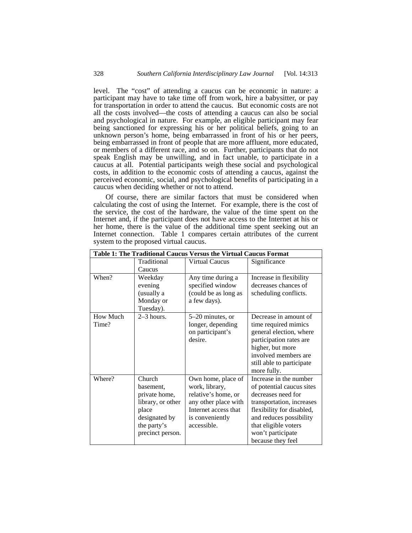level. The "cost" of attending a caucus can be economic in nature: a participant may have to take time off from work, hire a babysitter, or pay for transportation in order to attend the caucus. But economic costs are not all the costs involved—the costs of attending a caucus can also be social and psychological in nature. For example, an eligible participant may fear being sanctioned for expressing his or her political beliefs, going to an unknown person's home, being embarrassed in front of his or her peers, being embarrassed in front of people that are more affluent, more educated, or members of a different race, and so on. Further, participants that do not speak English may be unwilling, and in fact unable, to participate in a caucus at all. Potential participants weigh these social and psychological costs, in addition to the economic costs of attending a caucus, against the perceived economic, social, and psychological benefits of participating in a caucus when deciding whether or not to attend.

Of course, there are similar factors that must be considered when calculating the cost of using the Internet. For example, there is the cost of the service, the cost of the hardware, the value of the time spent on the Internet and, if the participant does not have access to the Internet at his or her home, there is the value of the additional time spent seeking out an Internet connection. Table 1 compares certain attributes of the current system to the proposed virtual caucus.

| Table 1: The Traditional Caucus Versus the Virtual Caucus Format |                                                                                                                        |                                                                                                                                               |                                                                                                                                                                                                                                  |  |  |  |
|------------------------------------------------------------------|------------------------------------------------------------------------------------------------------------------------|-----------------------------------------------------------------------------------------------------------------------------------------------|----------------------------------------------------------------------------------------------------------------------------------------------------------------------------------------------------------------------------------|--|--|--|
|                                                                  | Traditional<br>Caucus                                                                                                  | <b>Virtual Caucus</b>                                                                                                                         | Significance                                                                                                                                                                                                                     |  |  |  |
| When?                                                            | Weekday<br>evening<br>(usually a<br>Monday or<br>Tuesday).                                                             | Any time during a<br>specified window<br>(could be as long as<br>a few days).                                                                 | Increase in flexibility<br>decreases chances of<br>scheduling conflicts.                                                                                                                                                         |  |  |  |
| <b>How Much</b><br>Time?                                         | $2-3$ hours.                                                                                                           | 5-20 minutes, or<br>longer, depending<br>on participant's<br>desire.                                                                          | Decrease in amount of<br>time required mimics<br>general election, where<br>participation rates are<br>higher, but more<br>involved members are<br>still able to participate<br>more fully.                                      |  |  |  |
| Where?                                                           | Church<br>basement,<br>private home,<br>library, or other<br>place<br>designated by<br>the party's<br>precinct person. | Own home, place of<br>work, library,<br>relative's home, or<br>any other place with<br>Internet access that<br>is conveniently<br>accessible. | Increase in the number<br>of potential caucus sites<br>decreases need for<br>transportation, increases<br>flexibility for disabled,<br>and reduces possibility<br>that eligible voters<br>won't participate<br>because they feel |  |  |  |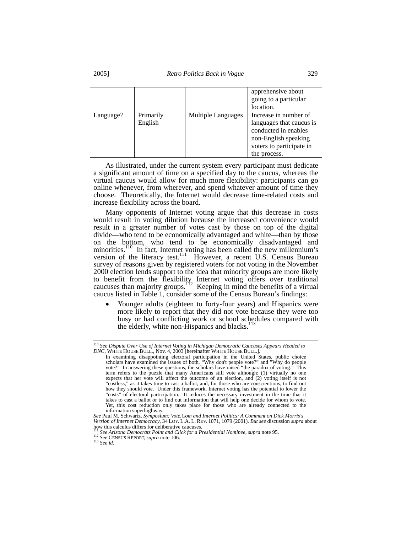|           |                      |                           | apprehensive about<br>going to a particular<br>location.                                                                                      |
|-----------|----------------------|---------------------------|-----------------------------------------------------------------------------------------------------------------------------------------------|
| Language? | Primarily<br>English | <b>Multiple Languages</b> | Increase in number of<br>languages that caucus is<br>conducted in enables<br>non-English speaking<br>voters to participate in<br>the process. |

As illustrated, under the current system every participant must dedicate a significant amount of time on a specified day to the caucus, whereas the virtual caucus would allow for much more flexibility: participants can go online whenever, from wherever, and spend whatever amount of time they choose. Theoretically, the Internet would decrease time-related costs and increase flexibility across the board.

Many opponents of Internet voting argue that this decrease in costs would result in voting dilution because the increased convenience would result in a greater number of votes cast by those on top of the digital divide—who tend to be economically advantaged and white—than by those on the bottom, who tend to be economically disadvantaged and minorities.<sup>110</sup> In fact, Internet voting has been called the new millennium's version of the literacy test.<sup>111</sup> However, a recent U.S. Census Bureau survey of reasons given by registered voters for not voting in the November 2000 election lends support to the idea that minority groups are more likely to benefit from the flexibility Internet voting offers over traditional caucuses than majority groups.<sup>112</sup> Keeping in mind the benefits of a virtual caucus listed in Table 1, consider some of the Census Bureau's findings:

• Younger adults (eighteen to forty-four years) and Hispanics were more likely to report that they did not vote because they were too busy or had conflicting work or school schedules compared with the elderly, white non-Hispanics and blacks.<sup>113</sup>

 <sup>110</sup> *See Dispute Over Use of Internet Voting in Michigan Democratic Caucuses Appears Headed to* 

*DNC*, WHITE HOUSE BULL., Nov. 4, 2003 [hereinafter WHITE HOUSE BULL.].<br>In examining disappointing electoral participation in the United States, public choice scholars have examined the issues of both, "Why don't people vote?" and "Why do people vote?" In answering these questions, the scholars have raised "the paradox of voting." This term refers to the puzzle that many Americans still vote although: (1) virtually no one expects that her vote will affect the outcome of an election, and (2) voting itself is not "costless," as it takes time to cast a ballot, and, for those who are conscientious, to find out how they should vote. Under this framework, Internet voting has the potential to lower the "costs" of electoral participation. It reduces the necessary investment in the time that it takes to cast a ballot or to find out information that will help one decide for whom to vote. Yet, this cost reduction only takes place for those who are already connected to the information superhighway.

*See* Paul M. Schwartz, *Symposium: Vote.Com and Internet Politics: A Comment on Dick Morris's Version of Internet Democracy*, 34 LOY. L.A. L. REV. 1071, 1079 (2001). *But see* discussion *supra* about how this calculus differs for deliberative caucuses.

<sup>&</sup>lt;sup>111</sup> *See Arizona Democrats Point and Click for a Presidential Nominee*, *supra* note 95. <sup>112</sup> *See* CENSUS REPORT, *supra* note 106. <sup>113</sup> *See id.*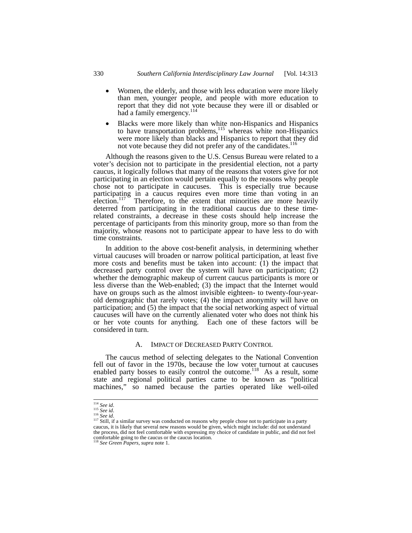- Women, the elderly, and those with less education were more likely than men, younger people, and people with more education to report that they did not vote because they were ill or disabled or had a family emergency.<sup>114</sup>
- Blacks were more likely than white non-Hispanics and Hispanics to have transportation problems, $115$  whereas white non-Hispanics were more likely than blacks and Hispanics to report that they did not vote because they did not prefer any of the candidates.<sup>116</sup>

Although the reasons given to the U.S. Census Bureau were related to a voter's decision not to participate in the presidential election, not a party caucus, it logically follows that many of the reasons that voters give for not participating in an election would pertain equally to the reasons why people chose not to participate in caucuses. This is especially true because participating in a caucus requires even more time than voting in an election.<sup>117</sup> Therefore, to the extent that minorities are more heavily deterred from participating in the traditional caucus due to these timerelated constraints, a decrease in these costs should help increase the percentage of participants from this minority group, more so than from the majority, whose reasons not to participate appear to have less to do with time constraints.

In addition to the above cost-benefit analysis, in determining whether virtual caucuses will broaden or narrow political participation, at least five more costs and benefits must be taken into account:  $(1)$  the impact that decreased party control over the system will have on participation; (2) whether the demographic makeup of current caucus participants is more or less diverse than the Web-enabled; (3) the impact that the Internet would have on groups such as the almost invisible eighteen- to twenty-four-yearold demographic that rarely votes; (4) the impact anonymity will have on participation; and (5) the impact that the social networking aspect of virtual caucuses will have on the currently alienated voter who does not think his or her vote counts for anything. Each one of these factors will be considered in turn.

#### A. IMPACT OF DECREASED PARTY CONTROL

The caucus method of selecting delegates to the National Convention fell out of favor in the 1970s, because the low voter turnout at caucuses enabled party bosses to easily control the outcome.<sup>118</sup> As a result, some state and regional political parties came to be known as "political machines," so named because the parties operated like well-oiled

<sup>&</sup>lt;sup>114</sup> *See id.*<br><sup>115</sup> *See id.*<br><sup>116</sup> *See id.* 116 *See id.* 116 *See id.* 116 *See id.* 117 Still, if a similar survey was conducted on reasons why people chose not to participate in a party caucus, it is likely that several new reasons would be given, which might include: did not understand the process, did not feel comfortable with expressing my choice of candidate in public, and did not feel comfortable going to the caucus or the caucus location. 118 *See Green Papers*, *supra* note 1.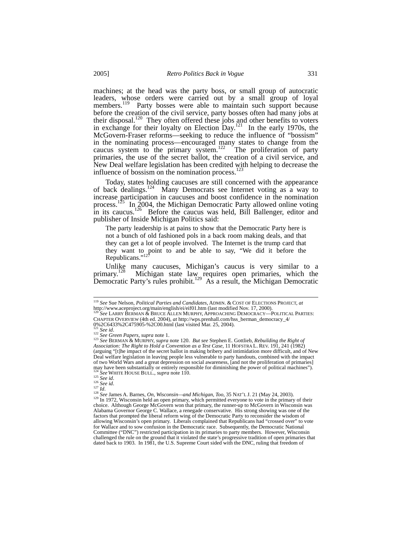machines; at the head was the party boss, or small group of autocratic leaders, whose orders were carried out by a small group of loyal members.<sup>119</sup> Party bosses were able to maintain such support because before the creation of the civil service, party bosses often had many jobs at their disposal.<sup>120</sup> They often offered these jobs and other benefits to voters in exchange for their loyalty on Election Day.<sup>121</sup> In the early 1970s, the McGovern-Fraser reforms—seeking to reduce the influence of "bossism" in the nominating process—encouraged many states to change from the caucus system to the primary system.<sup>122</sup> The proliferation of party primaries, the use of the secret ballot, the creation of a civil service, and New Deal welfare legislation has been credited with helping to decrease the influence of bossism on the nomination process. $123$ 

Today, states holding caucuses are still concerned with the appearance of back dealings.<sup>124</sup> Many Democrats see Internet voting as a way to increase participation in caucuses and boost confidence in the nomination process.<sup>125</sup> In 2004, the Michigan Democratic Party allowed online voting in its caucus.<sup>126</sup> Before the caucus was held, Bill Ballenger, editor and publisher of Inside Michigan Politics said:

The party leadership is at pains to show that the Democratic Party here is not a bunch of old fashioned pols in a back room making deals, and that they can get a lot of people involved. The Internet is the trump card that they want to point to and be able to say, "We did it before the Republicans."<sup>12</sup>

Unlike many caucuses, Michigan's caucus is very similar to a primary.<sup>128</sup> Michigan state law requires open primaries, which the primary.<sup>128</sup> Michigan state law requires open primaries, which the Democratic Party's rules prohibit.<sup>129</sup> As a result, the Michigan Democratic

 <sup>119</sup> *See* Sue Nelson, *Political Parties and Candidates*, ADMIN. & COST OF ELECTIONS PROJECT, *at*

http://www.aceproject.org/main/english/ei/eif01.htm (last modified Nov. 17, 2000).<br><sup>120</sup> *See* LARRY BERMAN & BRUCE ALLEN MURPHY, APPROACHING DEMOCRACY—POLITICAL PARTIES: CHAPTER OVERVIEW (4th ed. 2004), *at* http://wps.prenhall.com/hss\_berman\_democracy\_4/ 0%2C6433%2C475905-%2C00.html (last visited Mar. 25, 2004).

<sup>121</sup> *See id*. 122 *See Green Papers*, *supra* note 1. 123 *See* BERMAN & MURPHY, *supra* note 120. *But see* Stephen E. Gottlieb, *Rebuilding the Right of Association: The Right to Hold a Convention as a Test Case*, 11 HOFSTRA L. REV. 191, 241 (1982) (arguing "[t]he impact of the secret ballot in making bribery and intimidation more difficult, and of New Deal welfare legislation in leaving people less vulnerable to party handouts, combined with the impact of two World Wars and a great depression on social awareness, [and not the proliferation of primaries] may have been substantially or entirely responsible for diminishing the power of political machines").

<sup>&</sup>lt;sup>124</sup> See WHITE HOUSE BULL., *supra* note 110.<br>
<sup>125</sup> See id.<br>
<sup>126</sup> See id.<br>
<sup>126</sup> See id.<br>
<sup>128</sup> See James A. Barnes, *On*, *Wisconsin—and Michigan, Too*, 35 NAT'L J. 21 (May 24, 2003).<br>
<sup>129</sup> In 1972, Wisconsin held an choice. Although George McGovern won that primary, the runner-up to McGovern in Wisconsin was Alabama Governor George C. Wallace, a renegade conservative. His strong showing was one of the factors that prompted the liberal reform wing of the Democratic Party to reconsider the wisdom of allowing Wisconsin's open primary. Liberals complained that Republicans had "crossed over" to vote for Wallace and to sow confusion in the Democratic race. Subsequently, the Democratic National Committee ("DNC") restricted participation in its primaries to party members. However, Wisconsin challenged the rule on the ground that it violated the state's progressive tradition of open primaries that dated back to 1903. In 1981, the U.S. Supreme Court sided with the DNC, ruling that freedom of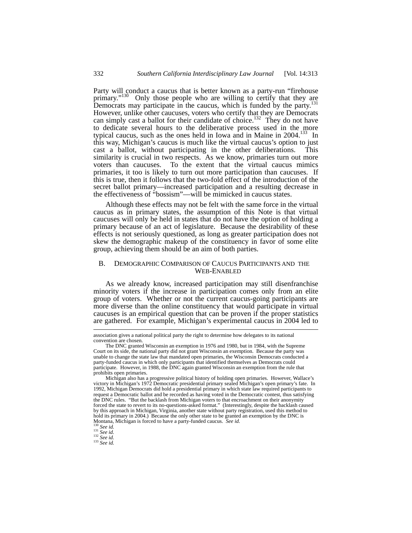Party will conduct a caucus that is better known as a party-run "firehouse primary."<sup>130</sup> Only those people who are willing to certify that they are Democrats may participate in the caucus, which is funded by the party.<sup>131</sup> However, unlike other caucuses, voters who certify that they are Democrats can simply cast a ballot for their candidate of choice.<sup>132</sup> They do not have to dedicate several hours to the deliberative process used in the more typical caucus, such as the ones held in Iowa and in Maine in  $2004$ .<sup>133</sup> In this way, Michigan's caucus is much like the virtual caucus's option to just cast a ballot, without participating in the other deliberations. This similarity is crucial in two respects. As we know, primaries turn out more voters than caucuses. To the extent that the virtual caucus mimics primaries, it too is likely to turn out more participation than caucuses. If this is true, then it follows that the two-fold effect of the introduction of the secret ballot primary—increased participation and a resulting decrease in the effectiveness of "bossism"—will be mimicked in caucus states.

Although these effects may not be felt with the same force in the virtual caucus as in primary states, the assumption of this Note is that virtual caucuses will only be held in states that do not have the option of holding a primary because of an act of legislature. Because the desirability of these effects is not seriously questioned, as long as greater participation does not skew the demographic makeup of the constituency in favor of some elite group, achieving them should be an aim of both parties.

### B. DEMOGRAPHIC COMPARISON OF CAUCUS PARTICIPANTS AND THE WEB-ENABLED

As we already know, increased participation may still disenfranchise minority voters if the increase in participation comes only from an elite group of voters. Whether or not the current caucus-going participants are more diverse than the online constituency that would participate in virtual caucuses is an empirical question that can be proven if the proper statistics are gathered. For example, Michigan's experimental caucus in 2004 led to

association gives a national political party the right to determine how delegates to its national convention are chosen.

The DNC granted Wisconsin an exemption in 1976 and 1980, but in 1984, with the Supreme Court on its side, the national party did not grant Wisconsin an exemption. Because the party was unable to change the state law that mandated open primaries, the Wisconsin Democrats conducted a party-funded caucus in which only participants that identified themselves as Democrats could participate. However, in 1988, the DNC again granted Wisconsin an exemption from the rule that prohibits open primaries.

Michigan also has a progressive political history of holding open primaries. However, Wallace's victory in Michigan's 1972 Democratic presidential primary sealed Michigan's open primary's fate. In 1992, Michigan Democrats did hold a presidential primary in which state law required participants to request a Democratic ballot and be recorded as having voted in the Democratic contest, thus satisfying the DNC rules. "But the backlash from Michigan voters to that encroachment on their anonymity forced the state to revert to its no-questions-asked format." (Interestingly, despite the backlash caused by this approach in Michigan, Virginia, another state without party registration, used this method to hold its primary in 2004.) Because the only other state to be granted an exemption by the DNC is Montana, Michigan is forced to have a party-funded caucus. *See id.*<br><sup>130</sup> *See id.*<br><sup>130</sup> *See id.*<br><sup>131</sup> *See id.*<br><sup>132</sup>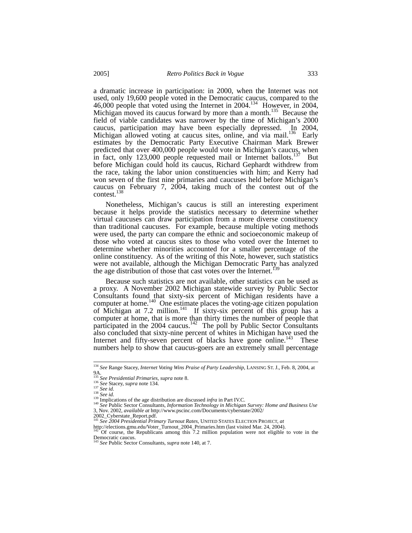a dramatic increase in participation: in 2000, when the Internet was not used, only 19,600 people voted in the Democratic caucus, compared to the 46,000 people that voted using the Internet in 2004.<sup>134</sup> However, in 2004, Michigan moved its caucus forward by more than a month.<sup>135</sup> Because the field of viable candidates was narrower by the time of Michigan's 2000 caucus, participation may have been especially depressed. In 2004, Michigan allowed voting at caucus sites, online, and via mail.<sup>136</sup> Early estimates by the Democratic Party Executive Chairman Mark Brewer predicted that over 400,000 people would vote in Michigan's caucus, when in fact, only  $123,000$  people requested mail or Internet ballots.<sup>137</sup> But before Michigan could hold its caucus, Richard Gephardt withdrew from the race, taking the labor union constituencies with him; and Kerry had won seven of the first nine primaries and caucuses held before Michigan's caucus on February 7, 2004, taking much of the contest out of the contest.<sup>138</sup>

Nonetheless, Michigan's caucus is still an interesting experiment because it helps provide the statistics necessary to determine whether virtual caucuses can draw participation from a more diverse constituency than traditional caucuses. For example, because multiple voting methods were used, the party can compare the ethnic and socioeconomic makeup of those who voted at caucus sites to those who voted over the Internet to determine whether minorities accounted for a smaller percentage of the online constituency. As of the writing of this Note, however, such statistics were not available, although the Michigan Democratic Party has analyzed the age distribution of those that cast votes over the Internet.<sup>1</sup>

Because such statistics are not available, other statistics can be used as a proxy. A November 2002 Michigan statewide survey by Public Sector Consultants found that sixty-six percent of Michigan residents have a computer at home.<sup>140</sup> One estimate places the voting-age citizen population of Michigan at 7.2 million.<sup>141</sup> If sixty-six percent of this group has a computer at home, that is more than thirty times the number of people that participated in the 2004 caucus.<sup>142</sup> The poll by Public Sector Consultants also concluded that sixty-nine percent of whites in Michigan have used the Internet and fifty-seven percent of blacks have gone online.<sup>143</sup> These numbers help to show that caucus-goers are an extremely small percentage

 <sup>134</sup> *See* Range Stacey, *Internet Voting Wins Praise of Party Leadership*, LANSING ST. J., Feb. 8, 2004, at 9A.<br><sup>135</sup> See Presidential Primaries, supra note 8.<br><sup>136</sup> See Stacey, supra note 134.<br><sup>137</sup> See id.<br><sup>139</sup> Implications of the age distribution are discussed *infra* in Part IV.C.<br><sup>140</sup> See Public Sector Consultants, *Infor* 

<sup>&</sup>lt;sup>440</sup> See Public Sector Consultants, *Information Technology in Michigan Survey: Home and Business Use*<br>3, Nov. 2002, *available at http://www.pscinc.com/Documents/cyberstate/2002/* 

<sup>2002</sup>\_Cyberstate\_Report.pdf. <sup>141</sup> *See 2004 Presidential Primary Turnout Rates*, UNITED STATES ELECTION PROJECT, *at*

http://elections.gmu.edu/Voter\_Turnout\_2004\_Primaries.htm (last visited Mar. 24, 2004). <sup>142</sup> Of course, the Republicans among this 7.2 million population were not eligible to vote in the Democratic caucus. <sup>143</sup> *See* Public Sector Consultants, *supra* note 140, at 7.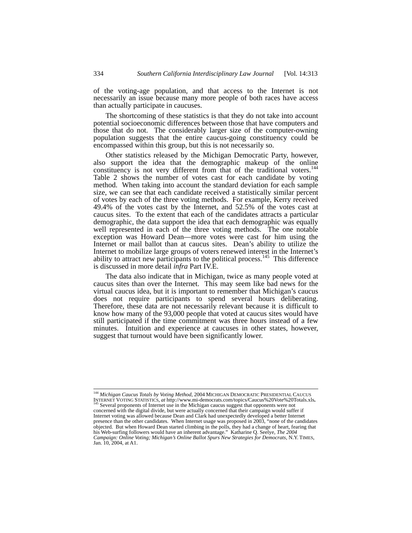of the voting-age population, and that access to the Internet is not necessarily an issue because many more people of both races have access than actually participate in caucuses.

The shortcoming of these statistics is that they do not take into account potential socioeconomic differences between those that have computers and those that do not. The considerably larger size of the computer-owning population suggests that the entire caucus-going constituency could be encompassed within this group, but this is not necessarily so.

Other statistics released by the Michigan Democratic Party, however, also support the idea that the demographic makeup of the online constituency is not very different from that of the traditional voters.<sup>144</sup><br>Table 2 shows the number of votes cast for each candidate by voting method. When taking into account the standard deviation for each sample size, we can see that each candidate received a statistically similar percent of votes by each of the three voting methods. For example, Kerry received 49.4% of the votes cast by the Internet, and 52.5% of the votes cast at caucus sites. To the extent that each of the candidates attracts a particular demographic, the data support the idea that each demographic was equally well represented in each of the three voting methods. The one notable exception was Howard Dean—more votes were cast for him using the Internet or mail ballot than at caucus sites. Dean's ability to utilize the Internet to mobilize large groups of voters renewed interest in the Internet's ability to attract new participants to the political process.<sup>145</sup> This difference is discussed in more detail *infra* Part IV.E.

The data also indicate that in Michigan, twice as many people voted at caucus sites than over the Internet. This may seem like bad news for the virtual caucus idea, but it is important to remember that Michigan's caucus does not require participants to spend several hours deliberating. Therefore, these data are not necessarily relevant because it is difficult to know how many of the 93,000 people that voted at caucus sites would have still participated if the time commitment was three hours instead of a few minutes. Intuition and experience at caucuses in other states, however, suggest that turnout would have been significantly lower.

 <sup>144</sup> *Michigan Caucus Totals by Voting Method*, 2004 MICHIGAN DEMOCRATIC PRESIDENTIAL CAUCUS

INTERNET VOTING STATISTICS, *at* http://www.mi-democrats.com/topics/Caucus%20Vote%20Totals.xls. <br>
<sup>145</sup> Several proponents of Internet use in the Michigan caucus suggest that opponents were not concerned with the digital divide, but were actually concerned that their campaign would suffer if Internet voting was allowed because Dean and Clark had unexpectedly developed a better Internet presence than the other candidates. When Internet usage was proposed in 2003, "none of the candidates objected. But when Howard Dean started climbing in the polls, they had a change of heart, fearing that<br>his Web-surfing followers would have an inherent advantage." Katharine Q. Seelye, *The 2004*<br>Campaign: Online Voting; M Jan. 10, 2004, at A1.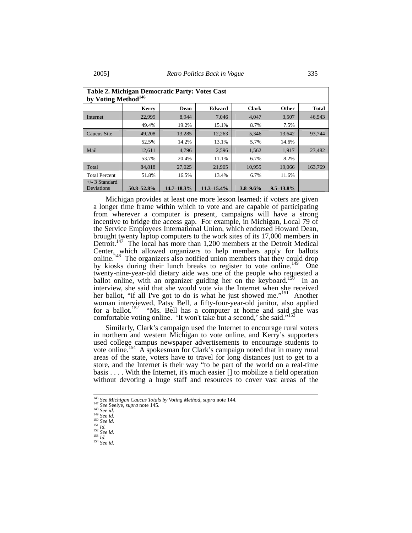| Table 2. Michigan Democratic Party: Votes Cast<br>by Voting Method <sup>146</sup> |            |                 |                 |               |                |              |
|-----------------------------------------------------------------------------------|------------|-----------------|-----------------|---------------|----------------|--------------|
|                                                                                   | Kerry      | Dean            | Edward          | <b>Clark</b>  | Other          | <b>Total</b> |
| Internet                                                                          | 22,999     | 8.944           | 7.046           | 4.047         | 3,507          | 46.543       |
|                                                                                   | 49.4%      | 19.2%           | 15.1%           | 8.7%          | 7.5%           |              |
| <b>Caucus Site</b>                                                                | 49,208     | 13,285          | 12,263          | 5,346         | 13,642         | 93,744       |
|                                                                                   | 52.5%      | 14.2%           | 13.1%           | 5.7%          | 14.6%          |              |
| Mail                                                                              | 12,611     | 4,796           | 2,596           | 1,562         | 1,917          | 23,482       |
|                                                                                   | 53.7%      | 20.4%           | 11.1%           | 6.7%          | 8.2%           |              |
| Total                                                                             | 84,818     | 27,025          | 21,905          | 10,955        | 19,066         | 163,769      |
| <b>Total Percent</b>                                                              | 51.8%      | 16.5%           | 13.4%           | 6.7%          | 11.6%          |              |
| $+/-$ 3 Standard<br>Deviations                                                    | 50.8-52.8% | $14.7 - 18.3\%$ | $11.3 - 15.4\%$ | $3.8 - 9.6\%$ | $9.5 - 13.8\%$ |              |

Michigan provides at least one more lesson learned: if voters are given a longer time frame within which to vote and are capable of participating from wherever a computer is present, campaigns will have a strong incentive to bridge the access gap. For example, in Michigan, Local 79 of the Service Employees International Union, which endorsed Howard Dean, brought twenty laptop computers to the work sites of its 17,000 members in Detroit.<sup>147</sup> The local has more than 1,200 members at the Detroit Medical Center, which allowed organizers to help members apply for ballots online.<sup>148</sup> The organizers also notified union members that they could drop by kiosks during their lunch breaks to register to vote online.<sup>149</sup> One twenty-nine-year-old dietary aide was one of the people who requested a ballot online, with an organizer guiding her on the keyboard.<sup>150</sup> In an interview, she said that she would vote via the Internet when she received her ballot, "if all I've got to do is what he just showed me."<sup>151</sup> Another woman interviewed, Patsy Bell, a fifty-four-year-old janitor, also applied for a ballot.<sup>152</sup> "Ms. Bell has a computer at home and said she was comfortable voting online. 'It won't take but a second,' she said."<sup>15</sup>

Similarly, Clark's campaign used the Internet to encourage rural voters in northern and western Michigan to vote online, and Kerry's supporters used college campus newspaper advertisements to encourage students to vote online.<sup>154</sup> A spokesman for Clark's campaign noted that in many rural areas of the state, voters have to travel for long distances just to get to a store, and the Internet is their way "to be part of the world on a real-time basis . . . . With the Internet, it's much easier [] to mobilize a field operation without devoting a huge staff and resources to cover vast areas of the

<sup>&</sup>lt;sup>146</sup> See Michigan Caucus Totals by Voting Method, supra note 144.<br>
<sup>147</sup> See Seelye, supra note 145.<br>
<sup>148</sup> See id.<br>
<sup>149</sup> See id.<br>
<sup>159</sup> See id.<br>
<sup>151</sup> See id.<br>
<sup>151</sup> Id.<br>
<sup>152</sup> See id.<br>
<sup>152</sup> See id.<br>
<sup>152</sup> See id.<br>
<sup>1</sup>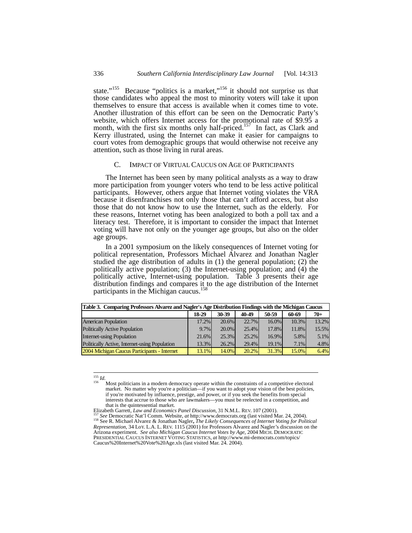state."<sup>155</sup> Because "politics is a market,"<sup>156</sup> it should not surprise us that those candidates who appeal the most to minority voters will take it upon themselves to ensure that access is available when it comes time to vote. Another illustration of this effort can be seen on the Democratic Party's website, which offers Internet access for the promotional rate of \$9.95 a month, with the first six months only half-priced.<sup>157</sup> In fact, as Clark and Kerry illustrated, using the Internet can make it easier for campaigns to court votes from demographic groups that would otherwise not receive any attention, such as those living in rural areas.

#### C. IMPACT OF VIRTUAL CAUCUS ON AGE OF PARTICIPANTS

The Internet has been seen by many political analysts as a way to draw more participation from younger voters who tend to be less active political participants. However, others argue that Internet voting violates the VRA because it disenfranchises not only those that can't afford access, but also those that do not know how to use the Internet, such as the elderly. For these reasons, Internet voting has been analogized to both a poll tax and a literacy test. Therefore, it is important to consider the impact that Internet voting will have not only on the younger age groups, but also on the older age groups.

In a 2001 symposium on the likely consequences of Internet voting for political representation, Professors Michael Alvarez and Jonathan Nagler studied the age distribution of adults in (1) the general population; (2) the politically active population; (3) the Internet-using population; and (4) the politically active, Internet-using population. Table 3 presents their age distribution findings and compares it to the age distribution of the Internet participants in the Michigan caucus.<sup>158</sup>

| Table 3. Comparing Professors Alvarez and Nagler's Age Distribution Findings with the Michigan Caucus |         |       |       |       |       |       |
|-------------------------------------------------------------------------------------------------------|---------|-------|-------|-------|-------|-------|
|                                                                                                       | 18-29   | 30-39 | 40-49 | 50-59 | 60-69 | $70+$ |
| <b>American Population</b>                                                                            | 17.2%   | 20.6% | 22.7% | 16.0% | 10.3% | 13.2% |
| <b>Politically Active Population</b>                                                                  | $9.7\%$ | 20.0% | 25.4% | 17.8% | 11.8% | 15.5% |
| <b>Internet-using Population</b>                                                                      | 21.6%   | 25.3% | 25.2% | 16.9% | 5.8%  | 5.1%  |
| Politically Active, Internet-using Population                                                         | 13.3%   | 26.2% | 29.4% | 19.1% | 7.1%  | 4.8%  |
| 2004 Michigan Caucus Participants - Internet                                                          | 13.1%   | 14.0% | 20.2% | 31.3% | 15.0% | 6.4%  |

<sup>&</sup>lt;sup>155</sup> *Id.* 156 *Id.* 156 Most politicians in a modern democracy operate within the constraints of a competitive electoral market. No matter why you're a politician—if you want to adopt your vision of the best policies, if you're motivated by influence, prestige, and power, or if you seek the benefits from special interests that accrue to those who are lawmakers—you must be reelected in a competition, and that is the quintessential market.<br>Elizabeth Garrett, Law and Economics Panel Discussion, 31 N.M.L. REV. 107 (2001).

<sup>157</sup> See Democratic Nat'l Comm. Website, at http://www.democrats.org (last visited Mar. 24, 2004).<br><sup>158</sup> See Democratic Nat'l Comm. Website, at http://www.democrats.org (last visited Mar. 24, 2004). *Representation*, 34 LoY. L.A. L. REV. 1115 (2001) for Professors Alvarez and Nagler's discussion on the Arizona experiment. *See also Michigan Caucus Internet Votes by Age*, 2004 MICH. DEMOCRATIC PRESIDENTIAL CAUCUS INTERNET VOTING STATISTICS, *at* http://www.mi-democrats.com/topics/ Caucus%20Internet%20Vote%20Age.xls (last visited Mar. 24. 2004).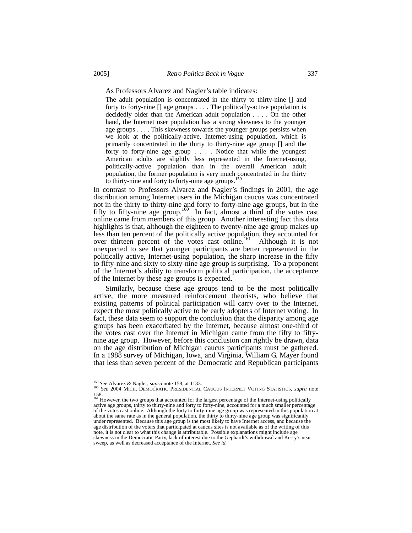As Professors Alvarez and Nagler's table indicates:

The adult population is concentrated in the thirty to thirty-nine [] and forty to forty-nine [] age groups . . . . The politically-active population is decidedly older than the American adult population . . . . On the other hand, the Internet user population has a strong skewness to the younger age groups . . . . This skewness towards the younger groups persists when we look at the politically-active, Internet-using population, which is primarily concentrated in the thirty to thirty-nine age group [] and the forty to forty-nine age group . . . . Notice that while the youngest American adults are slightly less represented in the Internet-using, politically-active population than in the overall American adult population, the former population is very much concentrated in the thirty to thirty-nine and forty to forty-nine age groups.<sup>159</sup>

In contrast to Professors Alvarez and Nagler's findings in 2001, the age distribution among Internet users in the Michigan caucus was concentrated not in the thirty to thirty-nine and forty to forty-nine age groups, but in the fifty to fifty-nine age group.<sup>160</sup> In fact, almost a third of the votes cast online came from members of this group. Another interesting fact this data highlights is that, although the eighteen to twenty-nine age group makes up less than ten percent of the politically active population, they accounted for over thirteen percent of the votes cast online.<sup>161</sup> Although it is not unexpected to see that younger participants are better represented in the politically active, Internet-using population, the sharp increase in the fifty to fifty-nine and sixty to sixty-nine age group is surprising. To a proponent of the Internet's ability to transform political participation, the acceptance of the Internet by these age groups is expected.

Similarly, because these age groups tend to be the most politically active, the more measured reinforcement theorists, who believe that existing patterns of political participation will carry over to the Internet, expect the most politically active to be early adopters of Internet voting. In fact, these data seem to support the conclusion that the disparity among age groups has been exacerbated by the Internet, because almost one-third of the votes cast over the Internet in Michigan came from the fifty to fiftynine age group. However, before this conclusion can rightly be drawn, data on the age distribution of Michigan caucus participants must be gathered. In a 1988 survey of Michigan, Iowa, and Virginia, William G. Mayer found that less than seven percent of the Democratic and Republican participants

<sup>&</sup>lt;sup>159</sup> See Alvarez & Nagler, *supra* note 158, at 1133.<br><sup>160</sup> See 2004 MICH. DEMOCRATIC PRESIDENTIAL CAUCUS INTERNET VOTING STATISTICS, *supra* note

<sup>158.&</sup>lt;br><sup>161</sup> However, the two groups that accounted for the largest percentage of the Internet-using politically<br>active age groups, thirty to thirty-nine and forty to forty-nine, accounted for a much smaller percentage of the votes cast online. Although the forty to forty-nine age group was represented in this population at about the same rate as in the general population, the thirty to thirty-nine age group was significantly under represented. Because this age group is the most likely to have Internet access, and because the age distribution of the voters that participated at caucus sites is not available as of the writing of this note, it is not clear to what this change is attributable. Possible explanations might include age skewness in the Democratic Party, lack of interest due to the Gephardt's withdrawal and Kerry's near sweep, as well as decreased acceptance of the Internet. *See id.*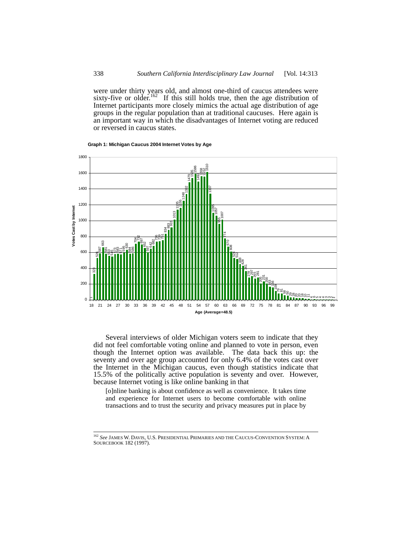were under thirty years old, and almost one-third of caucus attendees were sixty-five or older.<sup>162</sup> If this still holds true, then the age distribution of Internet participants more closely mimics the actual age distribution of age groups in the regular population than at traditional caucuses. Here again is an important way in which the disadvantages of Internet voting are reduced or reversed in caucus states.



**Graph 1: Michigan Caucus 2004 Internet Votes by Age**

Several interviews of older Michigan voters seem to indicate that they did not feel comfortable voting online and planned to vote in person, even though the Internet option was available. The data back this up: the seventy and over age group accounted for only 6.4% of the votes cast over the Internet in the Michigan caucus, even though statistics indicate that 15.5% of the politically active population is seventy and over. However, because Internet voting is like online banking in that

[o]nline banking is about confidence as well as convenience. It takes time and experience for Internet users to become comfortable with online transactions and to trust the security and privacy measures put in place by

 *See* JAMES W. DAVIS, U.S. PRESIDENTIAL PRIMARIES AND THE CAUCUS-CONVENTION SYSTEM: <sup>A</sup> SOURCEBOOK 182 (1997).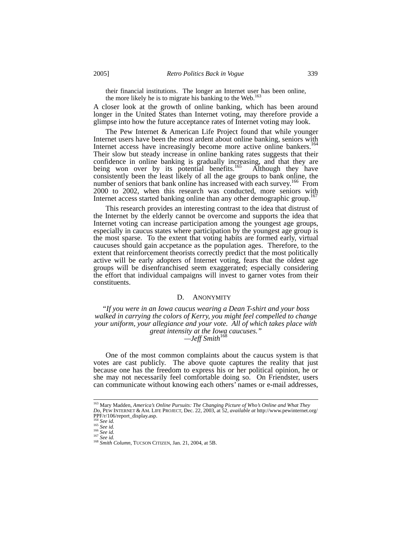their financial institutions. The longer an Internet user has been online, the more likely he is to migrate his banking to the Web.<sup>163</sup>

A closer look at the growth of online banking, which has been around longer in the United States than Internet voting, may therefore provide a glimpse into how the future acceptance rates of Internet voting may look.

The Pew Internet & American Life Project found that while younger Internet users have been the most ardent about online banking, seniors with Internet access have increasingly become more active online bankers.<sup>164</sup> Their slow but steady increase in online banking rates suggests that their confidence in online banking is gradually increasing, and that they are being won over by its potential benefits.<sup>165</sup> Although they have being won over by its potential benefits.<sup>165</sup> consistently been the least likely of all the age groups to bank online, the number of seniors that bank online has increased with each survey.<sup>166</sup> From 2000 to 2002, when this research was conducted, more seniors with Internet access started banking online than any other demographic group.<sup>167</sup>

This research provides an interesting contrast to the idea that distrust of the Internet by the elderly cannot be overcome and supports the idea that Internet voting can increase participation among the youngest age groups, especially in caucus states where participation by the youngest age group is the most sparse. To the extent that voting habits are formed early, virtual caucuses should gain accpetance as the population ages. Therefore, to the extent that reinforcement theorists correctly predict that the most politically active will be early adopters of Internet voting, fears that the oldest age groups will be disenfranchised seem exaggerated; especially considering the effort that individual campaigns will invest to garner votes from their constituents.

#### D. ANONYMITY

*"If you were in an Iowa caucus wearing a Dean T-shirt and your boss walked in carrying the colors of Kerry, you might feel compelled to change your uniform, your allegiance and your vote. All of which takes place with great intensity at the Iowa caucuses." —Jeff Smith*<sup>168</sup>

One of the most common complaints about the caucus system is that votes are cast publicly. The above quote captures the reality that just because one has the freedom to express his or her political opinion, he or she may not necessarily feel comfortable doing so. On Friendster, users can communicate without knowing each others' names or e-mail addresses,

 <sup>163</sup> Mary Madden, *America's Online Pursuits: The Changing Picture of Who's Online and What They Do*, PEW INTERNET &AM. LIFE PROJECT, Dec. 22, 2003, at 52, *available at* http://www.pewinternet.org/  $\begin{array}{l} \text{PPP/r/106/report\_display,asp.} \\ \text{164} \ \text{See} \ \textit{id}. \\ \text{165} \ \text{See} \ \textit{id}. \\ \text{166} \ \text{See} \ \textit{id}. \end{array}$ 

<sup>164</sup> *See id.* <sup>165</sup> *See id.* <sup>166</sup> *See id.* <sup>167</sup> *See id.* <sup>168</sup> *Smith Column*, TUCSON CITIZEN, Jan. 21, 2004, at 5B.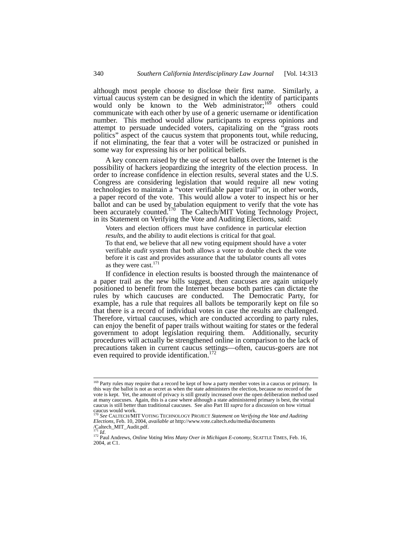although most people choose to disclose their first name. Similarly, a virtual caucus system can be designed in which the identity of participants would only be known to the Web administrator;<sup>169</sup> others could communicate with each other by use of a generic username or identification number. This method would allow participants to express opinions and attempt to persuade undecided voters, capitalizing on the "grass roots politics" aspect of the caucus system that proponents tout, while reducing, if not eliminating, the fear that a voter will be ostracized or punished in some way for expressing his or her political beliefs.

A key concern raised by the use of secret ballots over the Internet is the possibility of hackers jeopardizing the integrity of the election process. In order to increase confidence in election results, several states and the U.S. Congress are considering legislation that would require all new voting technologies to maintain a "voter verifiable paper trail" or, in other words, a paper record of the vote. This would allow a voter to inspect his or her ballot and can be used by tabulation equipment to verify that the vote has been accurately counted.<sup>170</sup> The Caltech/MIT Voting Technology Project, in its Statement on Verifying the Vote and Auditing Elections, said:

Voters and election officers must have confidence in particular election *results*, and the ability to audit elections is critical for that goal. To that end, we believe that all new voting equipment should have a voter verifiable *audit* system that both allows a voter to double check the vote before it is cast and provides assurance that the tabulator counts all votes

as they were cast.<sup>171</sup>

If confidence in election results is boosted through the maintenance of a paper trail as the new bills suggest, then caucuses are again uniquely positioned to benefit from the Internet because both parties can dictate the rules by which caucuses are conducted. The Democratic Party, for example, has a rule that requires all ballots be temporarily kept on file so that there is a record of individual votes in case the results are challenged. Therefore, virtual caucuses, which are conducted according to party rules, can enjoy the benefit of paper trails without waiting for states or the federal government to adopt legislation requiring them. Additionally, security procedures will actually be strengthened online in comparison to the lack of precautions taken in current caucus settings—often, caucus-goers are not even required to provide identification.<sup>172</sup>

<sup>&</sup>lt;sup>169</sup> Party rules may require that a record be kept of how a party member votes in a caucus or primary. In this way the ballot is not as secret as when the state administers the election, because no record of the vote is kept. Yet, the amount of privacy is still greatly increased over the open deliberation method used at many caucuses. Again, this is a case where although a state administered primary is best, the virtual caucus is still better than traditional caucuses. See also Part III *supra* for a discussion on how virtual caucus would work.

<sup>170</sup> *See* CALTECH/MIT VOTING TECHNOLOGY PROJECT *Statement on Verifying the Vote and Auditing Elections*, Feb. 10, 2004, *available at* http://www.vote.caltech.edu/media/documents  $\frac{72004}{11}$  /Caltech\_MIT\_Audit.pdf.

<sup>172</sup> Paul Andrews, *Online Voting Wins Many Over in Michigan E-conomy*, SEATTLE TIMES, Feb. 16, 2004, at C1.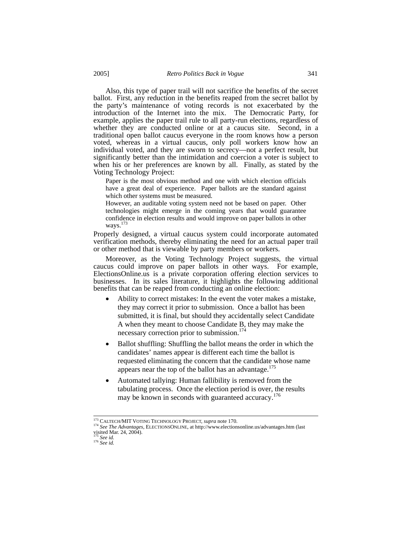Also, this type of paper trail will not sacrifice the benefits of the secret ballot. First, any reduction in the benefits reaped from the secret ballot by the party's maintenance of voting records is not exacerbated by the introduction of the Internet into the mix. The Democratic Party, for example, applies the paper trail rule to all party-run elections, regardless of whether they are conducted online or at a caucus site. Second, in a traditional open ballot caucus everyone in the room knows how a person voted, whereas in a virtual caucus, only poll workers know how an individual voted, and they are sworn to secrecy—not a perfect result, but significantly better than the intimidation and coercion a voter is subject to when his or her preferences are known by all. Finally, as stated by the Voting Technology Project:

Paper is the most obvious method and one with which election officials have a great deal of experience. Paper ballots are the standard against which other systems must be measured.

However, an auditable voting system need not be based on paper. Other technologies might emerge in the coming years that would guarantee confidence in election results and would improve on paper ballots in other ways.<sup>1</sup>

Properly designed, a virtual caucus system could incorporate automated verification methods, thereby eliminating the need for an actual paper trail or other method that is viewable by party members or workers.

Moreover, as the Voting Technology Project suggests, the virtual caucus could improve on paper ballots in other ways. For example, ElectionsOnline.us is a private corporation offering election services to businesses. In its sales literature, it highlights the following additional benefits that can be reaped from conducting an online election:

- Ability to correct mistakes: In the event the voter makes a mistake, they may correct it prior to submission. Once a ballot has been submitted, it is final, but should they accidentally select Candidate A when they meant to choose Candidate B, they may make the necessary correction prior to submission.<sup>174</sup>
- Ballot shuffling: Shuffling the ballot means the order in which the candidates' names appear is different each time the ballot is requested eliminating the concern that the candidate whose name appears near the top of the ballot has an advantage.<sup>175</sup>
- Automated tallying: Human fallibility is removed from the tabulating process. Once the election period is over, the results may be known in seconds with guaranteed accuracy.<sup>176</sup>

 <sup>173</sup> CALTECH/MIT VOTING TECHNOLOGY PROJECT, *supra* note 170. 174 *See The Advantages*, ELECTIONSONLINE, at http://www.electionsonline.us/advantages.htm (last visited Mar. 24, 2004).

<sup>175</sup> *See id.* <sup>176</sup> *See id.*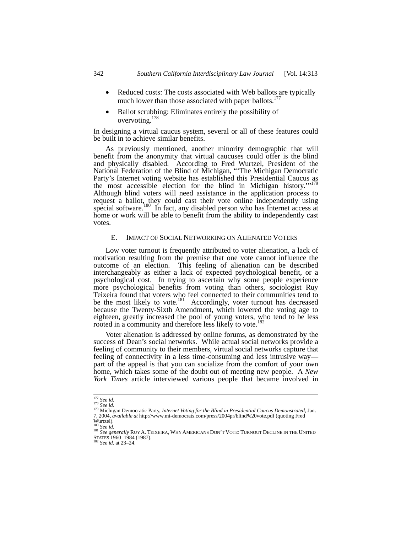- Reduced costs: The costs associated with Web ballots are typically much lower than those associated with paper ballots.<sup>177</sup>
- Ballot scrubbing: Eliminates entirely the possibility of overvoting.178

In designing a virtual caucus system, several or all of these features could be built in to achieve similar benefits.

As previously mentioned, another minority demographic that will benefit from the anonymity that virtual caucuses could offer is the blind and physically disabled. According to Fred Wurtzel, President of the National Federation of the Blind of Michigan, "'The Michigan Democratic Party's Internet voting website has established this Presidential Caucus as the most accessible election for the blind in Michigan history."<sup>179</sup> Although blind voters will need assistance in the application process to request a ballot, they could cast their vote online independently using special software.<sup>180</sup> In fact, any disabled person who has Internet access at home or work will be able to benefit from the ability to independently cast votes.

## E. IMPACT OF SOCIAL NETWORKING ON ALIENATED VOTERS

Low voter turnout is frequently attributed to voter alienation, a lack of motivation resulting from the premise that one vote cannot influence the outcome of an election. This feeling of alienation can be described interchangeably as either a lack of expected psychological benefit, or a psychological cost. In trying to ascertain why some people experience more psychological benefits from voting than others, sociologist Ruy Teixeira found that voters who feel connected to their communities tend to be the most likely to vote.<sup>181</sup> Accordingly, voter turnout has decreased because the Twenty-Sixth Amendment, which lowered the voting age to eighteen, greatly increased the pool of young voters, who tend to be less rooted in a community and therefore less likely to vote.<sup>18</sup>

Voter alienation is addressed by online forums, as demonstrated by the success of Dean's social networks. While actual social networks provide a feeling of community to their members, virtual social networks capture that feeling of connectivity in a less time-consuming and less intrusive way part of the appeal is that you can socialize from the comfort of your own home, which takes some of the doubt out of meeting new people. A *New York Times* article interviewed various people that became involved in

<sup>177</sup> *See id.* <sup>178</sup> *See id.* 179 Michigan Democratic Party, *Internet Voting for the Blind in Presidential Caucus Demonstrated*, Jan. 7, 2004, *available at* http://www.mi-democrats.com/press/2004pr/blind%20vote.pdf (quoting Fred

Wurtzel).

<sup>&</sup>lt;sup>180</sup> *See id.*<br><sup>181</sup> *See generally* RUY A. TEIXEIRA, WHY AMERICANS DON'T VOTE: TURNOUT DECLINE IN THE UNITED STATES 1960–1984 (1987). 182 *See id*. at 23–24.